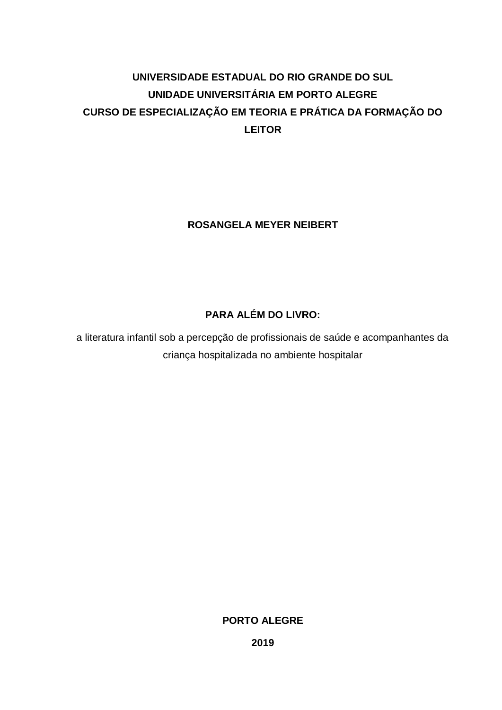# **UNIVERSIDADE ESTADUAL DO RIO GRANDE DO SUL UNIDADE UNIVERSITÁRIA EM PORTO ALEGRE CURSO DE ESPECIALIZAÇÃO EM TEORIA E PRÁTICA DA FORMAÇÃO DO LEITOR**

## **ROSANGELA MEYER NEIBERT**

# **PARA ALÉM DO LIVRO:**

a literatura infantil sob a percepção de profissionais de saúde e acompanhantes da criança hospitalizada no ambiente hospitalar

## **PORTO ALEGRE**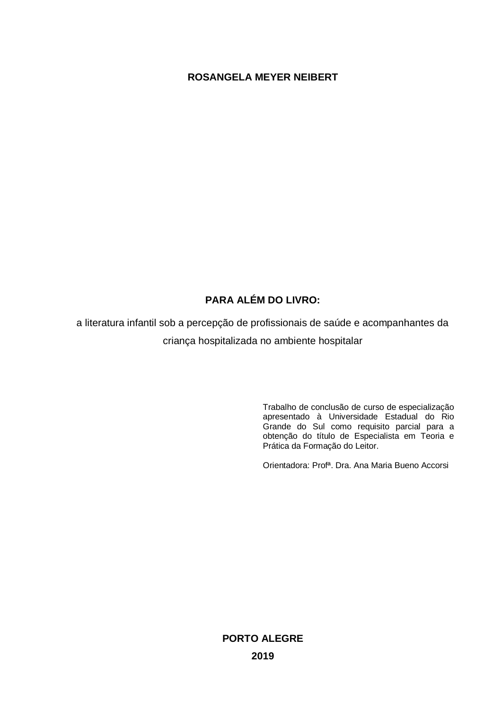## **ROSANGELA MEYER NEIBERT**

## **PARA ALÉM DO LIVRO:**

a literatura infantil sob a percepção de profissionais de saúde e acompanhantes da criança hospitalizada no ambiente hospitalar

> Trabalho de conclusão de curso de especialização apresentado à Universidade Estadual do Rio Grande do Sul como requisito parcial para a obtenção do título de Especialista em Teoria e Prática da Formação do Leitor.

Orientadora: Profª. Dra. Ana Maria Bueno Accorsi

**PORTO ALEGRE 2019**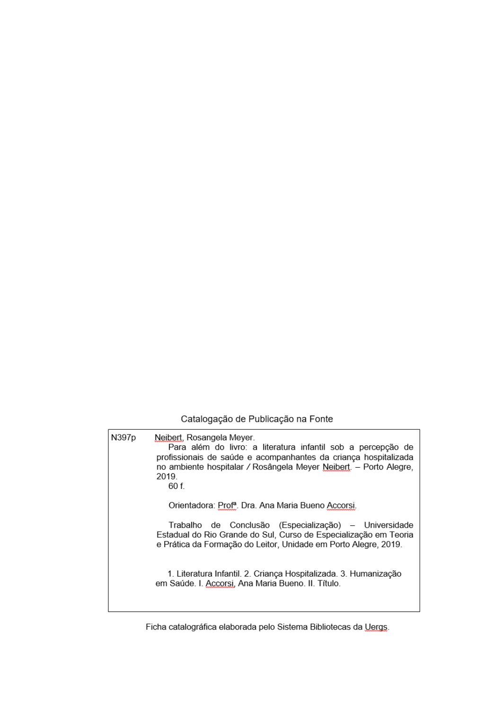## Catalogação de Publicação na Fonte

| N397p | Neibert, Rosangela Meyer.<br>Para além do livro: a literatura infantil sob a percepção de<br>profissionais de saúde e acompanhantes da criança hospitalizada<br>no ambiente hospitalar / Rosângela Meyer Neibert. - Porto Alegre,<br>2019.<br>60 f. |
|-------|-----------------------------------------------------------------------------------------------------------------------------------------------------------------------------------------------------------------------------------------------------|
|       | Orientadora: Prof <sup>a</sup> . Dra. Ana Maria Bueno Accorsi.                                                                                                                                                                                      |
|       | Trabalho de Conclusão (Especialização) – Universidade<br>Estadual do Rio Grande do Sul, Curso de Especialização em Teoria<br>e Prática da Formação do Leitor, Unidade em Porto Alegre, 2019.                                                        |
|       | 1. Literatura Infantil. 2. Criança Hospitalizada. 3. Humanização<br>em Saúde. I. Accorsi, Ana Maria Bueno. II. Título.                                                                                                                              |
|       |                                                                                                                                                                                                                                                     |

Ficha catalográfica elaborada pelo Sistema Bibliotecas da Uergs.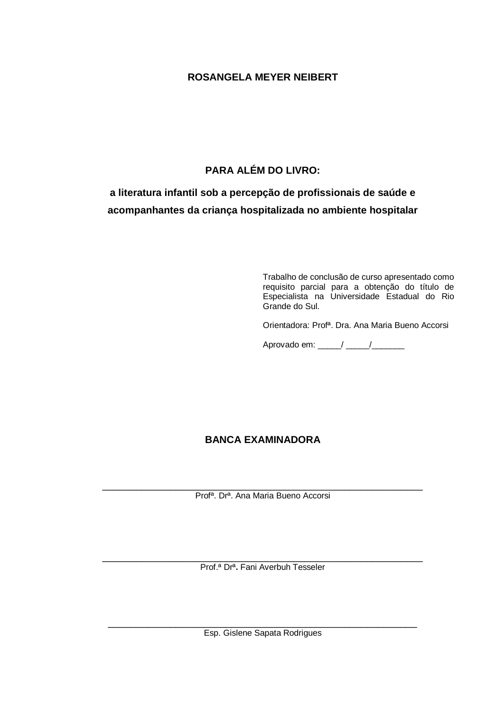## **ROSANGELA MEYER NEIBERT**

## **PARA ALÉM DO LIVRO:**

# **a literatura infantil sob a percepção de profissionais de saúde e acompanhantes da criança hospitalizada no ambiente hospitalar**

Trabalho de conclusão de curso apresentado como requisito parcial para a obtenção do título de Especialista na Universidade Estadual do Rio Grande do Sul.

Orientadora: Profª. Dra. Ana Maria Bueno Accorsi

Aprovado em: \_\_\_\_\_/ \_\_\_\_\_/ \_\_\_\_\_\_\_\_

## **BANCA EXAMINADORA**

\_\_\_\_\_\_\_\_\_\_\_\_\_\_\_\_\_\_\_\_\_\_\_\_\_\_\_\_\_\_\_\_\_\_\_\_\_\_\_\_\_\_\_\_\_\_\_\_\_\_\_\_\_\_\_\_\_ Profª. Drª. Ana Maria Bueno Accorsi

\_\_\_\_\_\_\_\_\_\_\_\_\_\_\_\_\_\_\_\_\_\_\_\_\_\_\_\_\_\_\_\_\_\_\_\_\_\_\_\_\_\_\_\_\_\_\_\_\_\_\_\_\_\_\_\_\_ Prof.ª Drª**.** Fani Averbuh Tesseler

\_\_\_\_\_\_\_\_\_\_\_\_\_\_\_\_\_\_\_\_\_\_\_\_\_\_\_\_\_\_\_\_\_\_\_\_\_\_\_\_\_\_\_\_\_\_\_\_\_\_\_\_\_\_\_ Esp. Gislene Sapata Rodrigues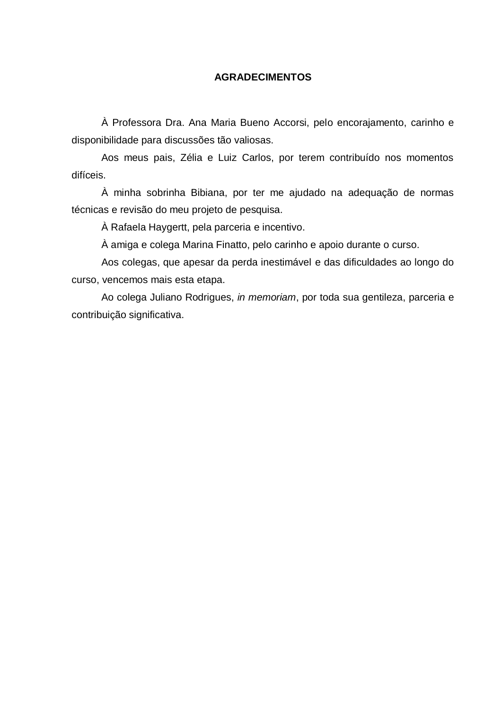### **AGRADECIMENTOS**

À Professora Dra. Ana Maria Bueno Accorsi, pelo encorajamento, carinho e disponibilidade para discussões tão valiosas.

Aos meus pais, Zélia e Luiz Carlos, por terem contribuído nos momentos difíceis.

À minha sobrinha Bibiana, por ter me ajudado na adequação de normas técnicas e revisão do meu projeto de pesquisa.

À Rafaela Haygertt, pela parceria e incentivo.

À amiga e colega Marina Finatto, pelo carinho e apoio durante o curso.

Aos colegas, que apesar da perda inestimável e das dificuldades ao longo do curso, vencemos mais esta etapa.

Ao colega Juliano Rodrigues, *in memoriam*, por toda sua gentileza, parceria e contribuição significativa.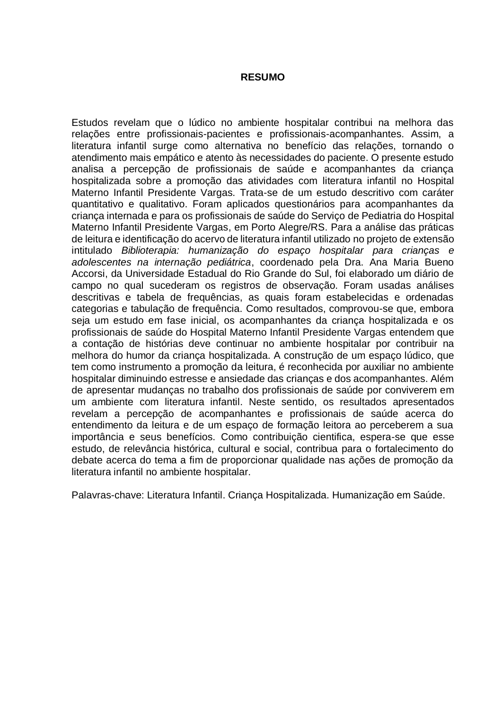#### **RESUMO**

Estudos revelam que o lúdico no ambiente hospitalar contribui na melhora das relações entre profissionais-pacientes e profissionais-acompanhantes. Assim, a literatura infantil surge como alternativa no benefício das relações, tornando o atendimento mais empático e atento às necessidades do paciente. O presente estudo analisa a percepção de profissionais de saúde e acompanhantes da criança hospitalizada sobre a promoção das atividades com literatura infantil no Hospital Materno Infantil Presidente Vargas. Trata-se de um estudo descritivo com caráter quantitativo e qualitativo. Foram aplicados questionários para acompanhantes da criança internada e para os profissionais de saúde do Serviço de Pediatria do Hospital Materno Infantil Presidente Vargas, em Porto Alegre/RS. Para a análise das práticas de leitura e identificação do acervo de literatura infantil utilizado no projeto de extensão intitulado *Biblioterapia: humanização do espaço hospitalar para crianças e adolescentes na internação pediátrica*, coordenado pela Dra. Ana Maria Bueno Accorsi, da Universidade Estadual do Rio Grande do Sul, foi elaborado um diário de campo no qual sucederam os registros de observação. Foram usadas análises descritivas e tabela de frequências, as quais foram estabelecidas e ordenadas categorias e tabulação de frequência. Como resultados, comprovou-se que, embora seja um estudo em fase inicial, os acompanhantes da criança hospitalizada e os profissionais de saúde do Hospital Materno Infantil Presidente Vargas entendem que a contação de histórias deve continuar no ambiente hospitalar por contribuir na melhora do humor da criança hospitalizada. A construção de um espaço lúdico, que tem como instrumento a promoção da leitura, é reconhecida por auxiliar no ambiente hospitalar diminuindo estresse e ansiedade das crianças e dos acompanhantes. Além de apresentar mudanças no trabalho dos profissionais de saúde por conviverem em um ambiente com literatura infantil. Neste sentido, os resultados apresentados revelam a percepção de acompanhantes e profissionais de saúde acerca do entendimento da leitura e de um espaço de formação leitora ao perceberem a sua importância e seus benefícios. Como contribuição cientifica, espera-se que esse estudo, de relevância histórica, cultural e social, contribua para o fortalecimento do debate acerca do tema a fim de proporcionar qualidade nas ações de promoção da literatura infantil no ambiente hospitalar.

Palavras-chave: Literatura Infantil. Criança Hospitalizada. Humanização em Saúde.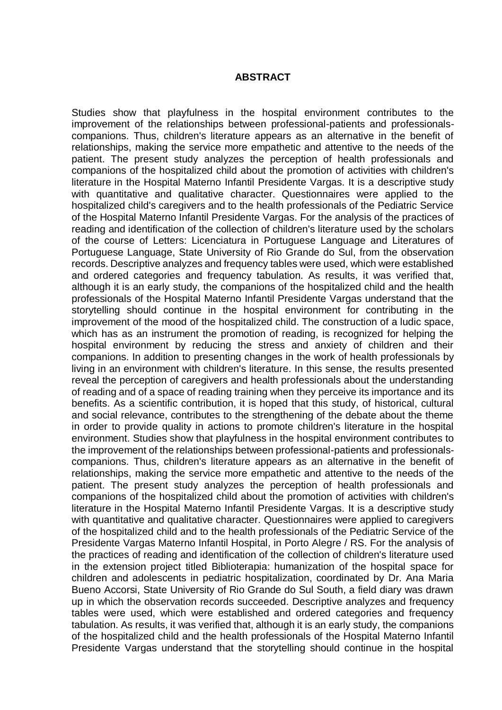#### **ABSTRACT**

Studies show that playfulness in the hospital environment contributes to the improvement of the relationships between professional-patients and professionalscompanions. Thus, children's literature appears as an alternative in the benefit of relationships, making the service more empathetic and attentive to the needs of the patient. The present study analyzes the perception of health professionals and companions of the hospitalized child about the promotion of activities with children's literature in the Hospital Materno Infantil Presidente Vargas. It is a descriptive study with quantitative and qualitative character. Questionnaires were applied to the hospitalized child's caregivers and to the health professionals of the Pediatric Service of the Hospital Materno Infantil Presidente Vargas. For the analysis of the practices of reading and identification of the collection of children's literature used by the scholars of the course of Letters: Licenciatura in Portuguese Language and Literatures of Portuguese Language, State University of Rio Grande do Sul, from the observation records. Descriptive analyzes and frequency tables were used, which were established and ordered categories and frequency tabulation. As results, it was verified that, although it is an early study, the companions of the hospitalized child and the health professionals of the Hospital Materno Infantil Presidente Vargas understand that the storytelling should continue in the hospital environment for contributing in the improvement of the mood of the hospitalized child. The construction of a ludic space, which has as an instrument the promotion of reading, is recognized for helping the hospital environment by reducing the stress and anxiety of children and their companions. In addition to presenting changes in the work of health professionals by living in an environment with children's literature. In this sense, the results presented reveal the perception of caregivers and health professionals about the understanding of reading and of a space of reading training when they perceive its importance and its benefits. As a scientific contribution, it is hoped that this study, of historical, cultural and social relevance, contributes to the strengthening of the debate about the theme in order to provide quality in actions to promote children's literature in the hospital environment. Studies show that playfulness in the hospital environment contributes to the improvement of the relationships between professional-patients and professionalscompanions. Thus, children's literature appears as an alternative in the benefit of relationships, making the service more empathetic and attentive to the needs of the patient. The present study analyzes the perception of health professionals and companions of the hospitalized child about the promotion of activities with children's literature in the Hospital Materno Infantil Presidente Vargas. It is a descriptive study with quantitative and qualitative character. Questionnaires were applied to caregivers of the hospitalized child and to the health professionals of the Pediatric Service of the Presidente Vargas Materno Infantil Hospital, in Porto Alegre / RS. For the analysis of the practices of reading and identification of the collection of children's literature used in the extension project titled Biblioterapia: humanization of the hospital space for children and adolescents in pediatric hospitalization, coordinated by Dr. Ana Maria Bueno Accorsi, State University of Rio Grande do Sul South, a field diary was drawn up in which the observation records succeeded. Descriptive analyzes and frequency tables were used, which were established and ordered categories and frequency tabulation. As results, it was verified that, although it is an early study, the companions of the hospitalized child and the health professionals of the Hospital Materno Infantil Presidente Vargas understand that the storytelling should continue in the hospital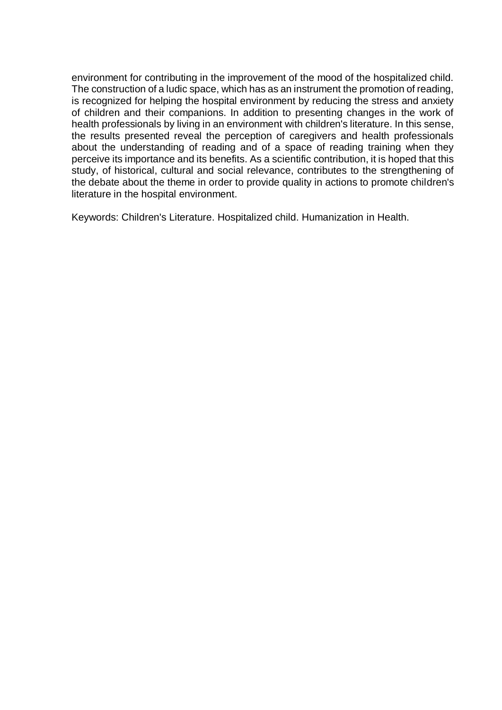environment for contributing in the improvement of the mood of the hospitalized child. The construction of a ludic space, which has as an instrument the promotion of reading, is recognized for helping the hospital environment by reducing the stress and anxiety of children and their companions. In addition to presenting changes in the work of health professionals by living in an environment with children's literature. In this sense, the results presented reveal the perception of caregivers and health professionals about the understanding of reading and of a space of reading training when they perceive its importance and its benefits. As a scientific contribution, it is hoped that this study, of historical, cultural and social relevance, contributes to the strengthening of the debate about the theme in order to provide quality in actions to promote children's literature in the hospital environment.

Keywords: Children's Literature. Hospitalized child. Humanization in Health.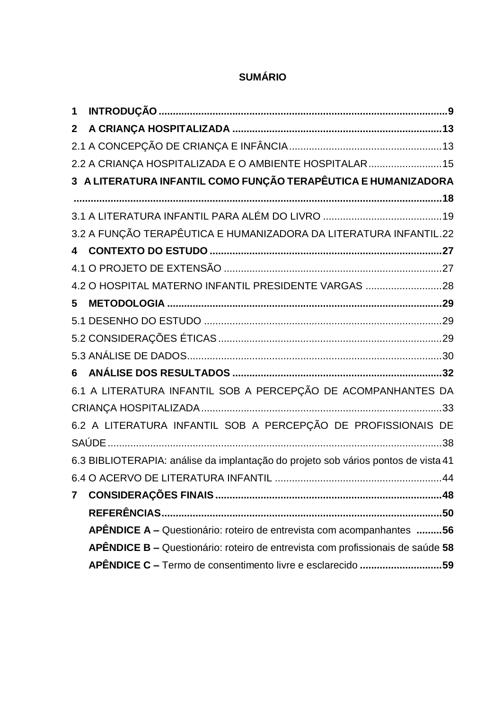# **SUMÁRIO**

| 1              |                                                                                    |
|----------------|------------------------------------------------------------------------------------|
| $\mathbf{2}$   |                                                                                    |
|                |                                                                                    |
|                | 2.2 A CRIANÇA HOSPITALIZADA E O AMBIENTE HOSPITALAR15                              |
|                | 3 A LITERATURA INFANTIL COMO FUNÇÃO TERAPÊUTICA E HUMANIZADORA                     |
|                |                                                                                    |
|                |                                                                                    |
|                | 3.2 A FUNÇÃO TERAPÊUTICA E HUMANIZADORA DA LITERATURA INFANTIL.22                  |
|                |                                                                                    |
|                |                                                                                    |
|                | 4.2 O HOSPITAL MATERNO INFANTIL PRESIDENTE VARGAS 28                               |
| 5              |                                                                                    |
|                |                                                                                    |
|                |                                                                                    |
|                |                                                                                    |
|                |                                                                                    |
|                | 6.1 A LITERATURA INFANTIL SOB A PERCEPÇÃO DE ACOMPANHANTES DA                      |
|                |                                                                                    |
|                | 6.2 A LITERATURA INFANTIL SOB A PERCEPÇÃO DE PROFISSIONAIS DE                      |
|                |                                                                                    |
|                | 6.3 BIBLIOTERAPIA: análise da implantação do projeto sob vários pontos de vista 41 |
|                |                                                                                    |
| $\overline{7}$ |                                                                                    |
|                |                                                                                    |
|                | APÊNDICE A - Questionário: roteiro de entrevista com acompanhantes 56              |
|                | APÊNDICE B - Questionário: roteiro de entrevista com profissionais de saúde 58     |
|                | APÊNDICE C - Termo de consentimento livre e esclarecido 59                         |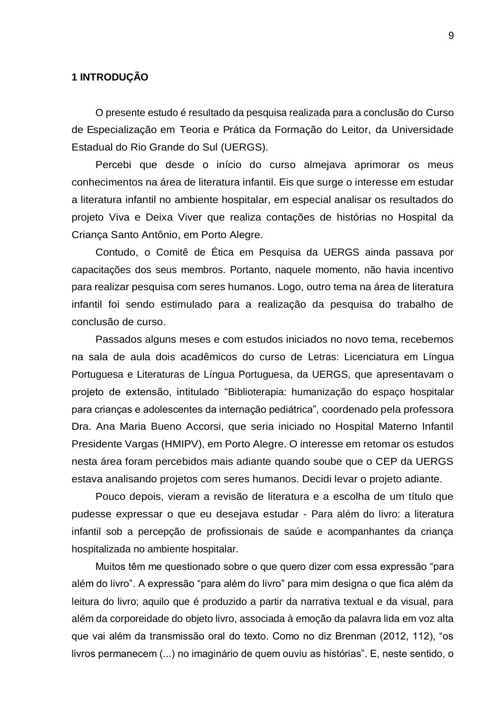### <span id="page-9-0"></span>**1 INTRODUÇÃO**

O presente estudo é resultado da pesquisa realizada para a conclusão do Curso de Especialização em Teoria e Prática da Formação do Leitor, da Universidade Estadual do Rio Grande do Sul (UERGS).

Percebi que desde o início do curso almejava aprimorar os meus conhecimentos na área de literatura infantil. Eis que surge o interesse em estudar a literatura infantil no ambiente hospitalar, em especial analisar os resultados do projeto Viva e Deixa Viver que realiza contações de histórias no Hospital da Criança Santo Antônio, em Porto Alegre.

Contudo, o Comitê de Ética em Pesquisa da UERGS ainda passava por capacitações dos seus membros. Portanto, naquele momento, não havia incentivo para realizar pesquisa com seres humanos. Logo, outro tema na área de literatura infantil foi sendo estimulado para a realização da pesquisa do trabalho de conclusão de curso.

Passados alguns meses e com estudos iniciados no novo tema, recebemos na sala de aula dois acadêmicos do curso de Letras: Licenciatura em Língua Portuguesa e Literaturas de Língua Portuguesa, da UERGS, que apresentavam o projeto de extensão, intitulado "Biblioterapia: humanização do espaço hospitalar para crianças e adolescentes da internação pediátrica", coordenado pela professora Dra. Ana Maria Bueno Accorsi, que seria iniciado no Hospital Materno Infantil Presidente Vargas (HMIPV), em Porto Alegre. O interesse em retomar os estudos nesta área foram percebidos mais adiante quando soube que o CEP da UERGS estava analisando projetos com seres humanos. Decidi levar o projeto adiante.

Pouco depois, vieram a revisão de literatura e a escolha de um título que pudesse expressar o que eu desejava estudar - Para além do livro: a literatura infantil sob a percepção de profissionais de saúde e acompanhantes da criança hospitalizada no ambiente hospitalar.

Muitos têm me questionado sobre o que quero dizer com essa expressão "para além do livro". A expressão "para além do livro" para mim designa o que fica além da leitura do livro; aquilo que é produzido a partir da narrativa textual e da visual, para além da corporeidade do objeto livro, associada à emoção da palavra lida em voz alta que vai além da transmissão oral do texto. Como no diz Brenman (2012, 112), "os livros permanecem (...) no imaginário de quem ouviu as histórias". E, neste sentido, o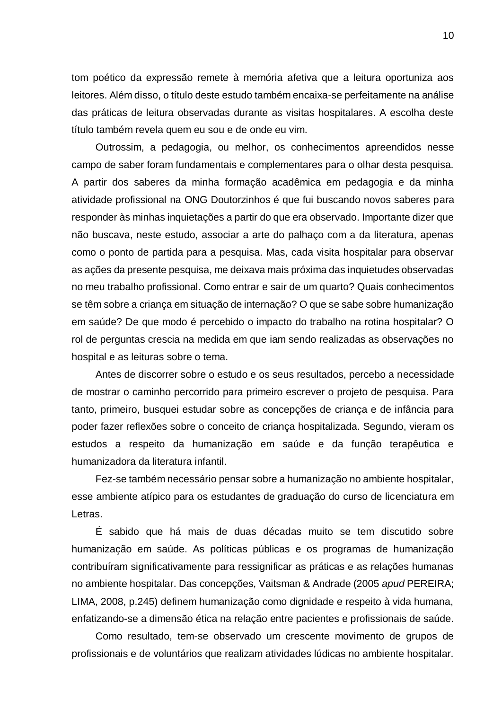tom poético da expressão remete à memória afetiva que a leitura oportuniza aos leitores. Além disso, o título deste estudo também encaixa-se perfeitamente na análise das práticas de leitura observadas durante as visitas hospitalares. A escolha deste título também revela quem eu sou e de onde eu vim.

Outrossim, a pedagogia, ou melhor, os conhecimentos apreendidos nesse campo de saber foram fundamentais e complementares para o olhar desta pesquisa. A partir dos saberes da minha formação acadêmica em pedagogia e da minha atividade profissional na ONG Doutorzinhos é que fui buscando novos saberes para responder às minhas inquietações a partir do que era observado. Importante dizer que não buscava, neste estudo, associar a arte do palhaço com a da literatura, apenas como o ponto de partida para a pesquisa. Mas, cada visita hospitalar para observar as ações da presente pesquisa, me deixava mais próxima das inquietudes observadas no meu trabalho profissional. Como entrar e sair de um quarto? Quais conhecimentos se têm sobre a criança em situação de internação? O que se sabe sobre humanização em saúde? De que modo é percebido o impacto do trabalho na rotina hospitalar? O rol de perguntas crescia na medida em que iam sendo realizadas as observações no hospital e as leituras sobre o tema.

Antes de discorrer sobre o estudo e os seus resultados, percebo a necessidade de mostrar o caminho percorrido para primeiro escrever o projeto de pesquisa. Para tanto, primeiro, busquei estudar sobre as concepções de criança e de infância para poder fazer reflexões sobre o conceito de criança hospitalizada. Segundo, vieram os estudos a respeito da humanização em saúde e da função terapêutica e humanizadora da literatura infantil.

Fez-se também necessário pensar sobre a humanização no ambiente hospitalar, esse ambiente atípico para os estudantes de graduação do curso de licenciatura em Letras.

É sabido que há mais de duas décadas muito se tem discutido sobre humanização em saúde. As políticas públicas e os programas de humanização contribuíram significativamente para ressignificar as práticas e as relações humanas no ambiente hospitalar. Das concepções, Vaitsman & Andrade (2005 *apud* PEREIRA; LIMA, 2008, p.245) definem humanização como dignidade e respeito à vida humana, enfatizando-se a dimensão ética na relação entre pacientes e profissionais de saúde.

Como resultado, tem-se observado um crescente movimento de grupos de profissionais e de voluntários que realizam atividades lúdicas no ambiente hospitalar.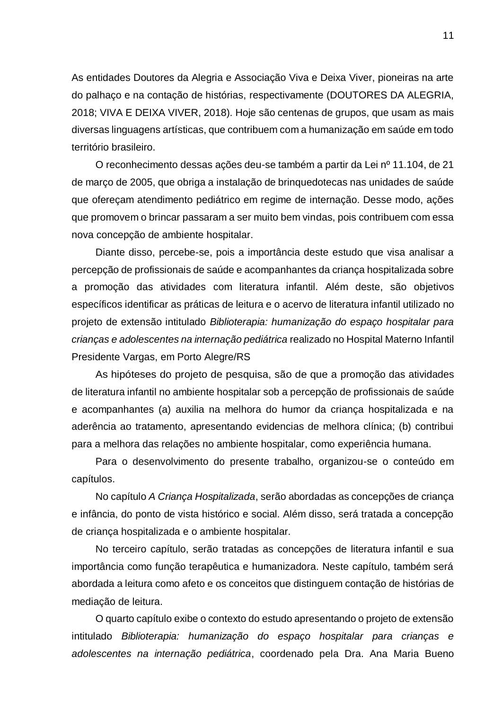As entidades Doutores da Alegria e Associação Viva e Deixa Viver, pioneiras na arte do palhaço e na contação de histórias, respectivamente (DOUTORES DA ALEGRIA, 2018; VIVA E DEIXA VIVER, 2018). Hoje são centenas de grupos, que usam as mais diversas linguagens artísticas, que contribuem com a humanização em saúde em todo território brasileiro.

O reconhecimento dessas ações deu-se também a partir da Lei nº 11.104, de 21 de março de 2005, que obriga a instalação de brinquedotecas nas unidades de saúde que ofereçam atendimento pediátrico em regime de internação. Desse modo, ações que promovem o brincar passaram a ser muito bem vindas, pois contribuem com essa nova concepção de ambiente hospitalar.

Diante disso, percebe-se, pois a importância deste estudo que visa analisar a percepção de profissionais de saúde e acompanhantes da criança hospitalizada sobre a promoção das atividades com literatura infantil. Além deste, são objetivos específicos identificar as práticas de leitura e o acervo de literatura infantil utilizado no projeto de extensão intitulado *Biblioterapia: humanização do espaço hospitalar para crianças e adolescentes na internação pediátrica* realizado no Hospital Materno Infantil Presidente Vargas, em Porto Alegre/RS

As hipóteses do projeto de pesquisa, são de que a promoção das atividades de literatura infantil no ambiente hospitalar sob a percepção de profissionais de saúde e acompanhantes (a) auxilia na melhora do humor da criança hospitalizada e na aderência ao tratamento, apresentando evidencias de melhora clínica; (b) contribui para a melhora das relações no ambiente hospitalar, como experiência humana.

Para o desenvolvimento do presente trabalho, organizou-se o conteúdo em capítulos.

No capítulo *A Criança Hospitalizada*, serão abordadas as concepções de criança e infância, do ponto de vista histórico e social. Além disso, será tratada a concepção de criança hospitalizada e o ambiente hospitalar.

No terceiro capítulo, serão tratadas as concepções de literatura infantil e sua importância como função terapêutica e humanizadora. Neste capítulo, também será abordada a leitura como afeto e os conceitos que distinguem contação de histórias de mediação de leitura.

O quarto capítulo exibe o contexto do estudo apresentando o projeto de extensão intitulado *Biblioterapia: humanização do espaço hospitalar para crianças e adolescentes na internação pediátrica*, coordenado pela Dra. Ana Maria Bueno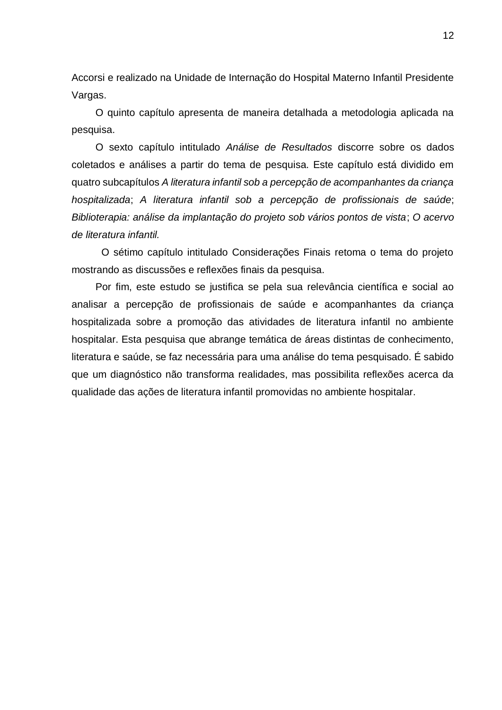Accorsi e realizado na Unidade de Internação do Hospital Materno Infantil Presidente Vargas.

O quinto capítulo apresenta de maneira detalhada a metodologia aplicada na pesquisa.

O sexto capítulo intitulado *Análise de Resultados* discorre sobre os dados coletados e análises a partir do tema de pesquisa. Este capítulo está dividido em quatro subcapítulos *A literatura infantil sob a percepção de acompanhantes da criança hospitalizada*; *A literatura infantil sob a percepção de profissionais de saúde*; *Biblioterapia: análise da implantação do projeto sob vários pontos de vista*; *O acervo de literatura infantil.*

O sétimo capítulo intitulado Considerações Finais retoma o tema do projeto mostrando as discussões e reflexões finais da pesquisa.

Por fim, este estudo se justifica se pela sua relevância científica e social ao analisar a percepção de profissionais de saúde e acompanhantes da criança hospitalizada sobre a promoção das atividades de literatura infantil no ambiente hospitalar. Esta pesquisa que abrange temática de áreas distintas de conhecimento, literatura e saúde, se faz necessária para uma análise do tema pesquisado. É sabido que um diagnóstico não transforma realidades, mas possibilita reflexões acerca da qualidade das ações de literatura infantil promovidas no ambiente hospitalar.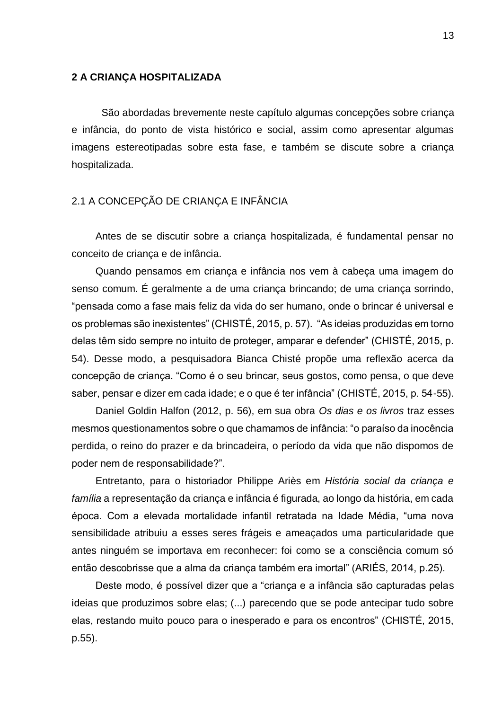#### <span id="page-13-0"></span>**2 A CRIANÇA HOSPITALIZADA**

São abordadas brevemente neste capítulo algumas concepções sobre criança e infância, do ponto de vista histórico e social, assim como apresentar algumas imagens estereotipadas sobre esta fase, e também se discute sobre a criança hospitalizada.

## <span id="page-13-1"></span>2.1 A CONCEPÇÃO DE CRIANÇA E INFÂNCIA

Antes de se discutir sobre a criança hospitalizada, é fundamental pensar no conceito de criança e de infância.

Quando pensamos em criança e infância nos vem à cabeça uma imagem do senso comum. É geralmente a de uma criança brincando; de uma criança sorrindo, "pensada como a fase mais feliz da vida do ser humano, onde o brincar é universal e os problemas são inexistentes" (CHISTÉ, 2015, p. 57). "As ideias produzidas em torno delas têm sido sempre no intuito de proteger, amparar e defender" (CHISTÉ, 2015, p. 54). Desse modo, a pesquisadora Bianca Chisté propõe uma reflexão acerca da concepção de criança. "Como é o seu brincar, seus gostos, como pensa, o que deve saber, pensar e dizer em cada idade; e o que é ter infância" (CHISTÉ, 2015, p. 54-55).

Daniel Goldin Halfon (2012, p. 56), em sua obra *Os dias e os livros* traz esses mesmos questionamentos sobre o que chamamos de infância: "o paraíso da inocência perdida, o reino do prazer e da brincadeira, o período da vida que não dispomos de poder nem de responsabilidade?".

Entretanto, para o historiador Philippe Ariès em *História social da criança e família* a representação da criança e infância é figurada, ao longo da história, em cada época. Com a elevada mortalidade infantil retratada na Idade Média, "uma nova sensibilidade atribuiu a esses seres frágeis e ameaçados uma particularidade que antes ninguém se importava em reconhecer: foi como se a consciência comum só então descobrisse que a alma da criança também era imortal" (ARIÉS, 2014, p.25).

Deste modo, é possível dizer que a "criança e a infância são capturadas pelas ideias que produzimos sobre elas; (...) parecendo que se pode antecipar tudo sobre elas, restando muito pouco para o inesperado e para os encontros" (CHISTÉ, 2015, p.55).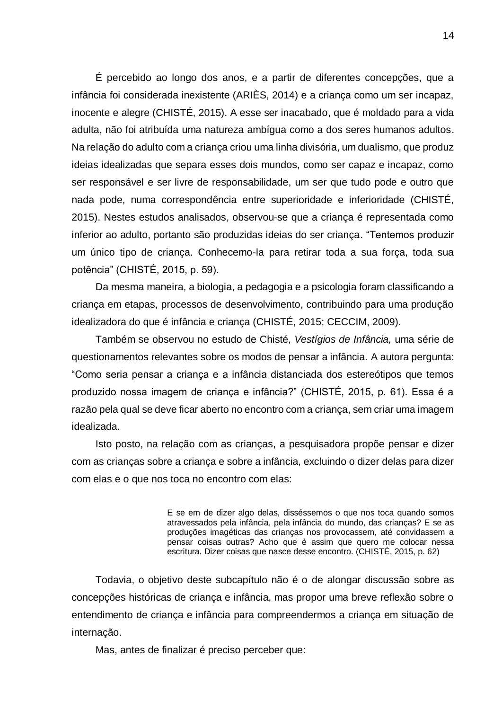É percebido ao longo dos anos, e a partir de diferentes concepções, que a infância foi considerada inexistente (ARIÈS, 2014) e a criança como um ser incapaz, inocente e alegre (CHISTÉ, 2015). A esse ser inacabado, que é moldado para a vida adulta, não foi atribuída uma natureza ambígua como a dos seres humanos adultos. Na relação do adulto com a criança criou uma linha divisória, um dualismo, que produz ideias idealizadas que separa esses dois mundos, como ser capaz e incapaz, como ser responsável e ser livre de responsabilidade, um ser que tudo pode e outro que nada pode, numa correspondência entre superioridade e inferioridade (CHISTÉ, 2015). Nestes estudos analisados, observou-se que a criança é representada como inferior ao adulto, portanto são produzidas ideias do ser criança. "Tentemos produzir um único tipo de criança. Conhecemo-la para retirar toda a sua força, toda sua potência" (CHISTÉ, 2015, p. 59).

Da mesma maneira, a biologia, a pedagogia e a psicologia foram classificando a criança em etapas, processos de desenvolvimento, contribuindo para uma produção idealizadora do que é infância e criança (CHISTÉ, 2015; CECCIM, 2009).

Também se observou no estudo de Chisté, *Vestígios de Infância,* uma série de questionamentos relevantes sobre os modos de pensar a infância. A autora pergunta: "Como seria pensar a criança e a infância distanciada dos estereótipos que temos produzido nossa imagem de criança e infância?" (CHISTÉ, 2015, p. 61). Essa é a razão pela qual se deve ficar aberto no encontro com a criança, sem criar uma imagem idealizada.

Isto posto, na relação com as crianças, a pesquisadora propõe pensar e dizer com as crianças sobre a criança e sobre a infância, excluindo o dizer delas para dizer com elas e o que nos toca no encontro com elas:

> E se em de dizer algo delas, disséssemos o que nos toca quando somos atravessados pela infância, pela infância do mundo, das crianças? E se as produções imagéticas das crianças nos provocassem, até convidassem a pensar coisas outras? Acho que é assim que quero me colocar nessa escritura. Dizer coisas que nasce desse encontro. (CHISTÉ, 2015, p. 62)

Todavia, o objetivo deste subcapítulo não é o de alongar discussão sobre as concepções históricas de criança e infância, mas propor uma breve reflexão sobre o entendimento de criança e infância para compreendermos a criança em situação de internação.

Mas, antes de finalizar é preciso perceber que: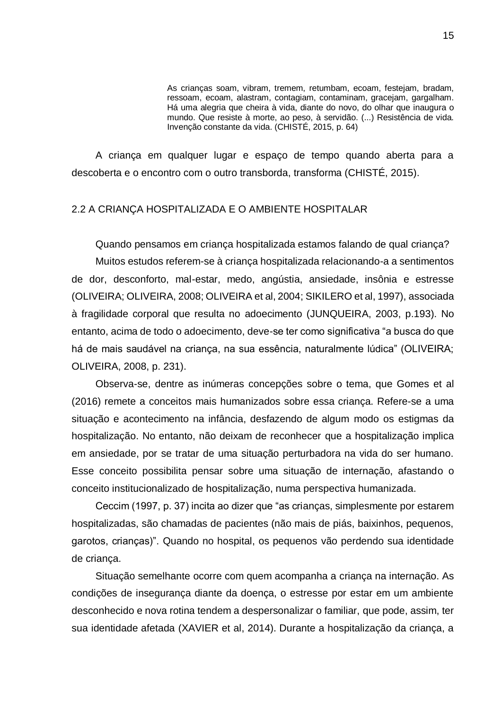As crianças soam, vibram, tremem, retumbam, ecoam, festejam, bradam, ressoam, ecoam, alastram, contagiam, contaminam, gracejam, gargalham. Há uma alegria que cheira à vida, diante do novo, do olhar que inaugura o mundo. Que resiste à morte, ao peso, à servidão. (...) Resistência de vida. Invenção constante da vida. (CHISTÉ, 2015, p. 64)

A criança em qualquer lugar e espaço de tempo quando aberta para a descoberta e o encontro com o outro transborda, transforma (CHISTÉ, 2015).

### <span id="page-15-0"></span>2.2 A CRIANÇA HOSPITALIZADA E O AMBIENTE HOSPITALAR

Quando pensamos em criança hospitalizada estamos falando de qual criança? Muitos estudos referem-se à criança hospitalizada relacionando-a a sentimentos de dor, desconforto, mal-estar, medo, angústia, ansiedade, insônia e estresse (OLIVEIRA; OLIVEIRA, 2008; OLIVEIRA et al, 2004; SIKILERO et al, 1997), associada à fragilidade corporal que resulta no adoecimento (JUNQUEIRA, 2003, p.193). No entanto, acima de todo o adoecimento, deve-se ter como significativa "a busca do que há de mais saudável na criança, na sua essência, naturalmente lúdica" (OLIVEIRA; OLIVEIRA, 2008, p. 231).

Observa-se, dentre as inúmeras concepções sobre o tema, que Gomes et al (2016) remete a conceitos mais humanizados sobre essa criança. Refere-se a uma situação e acontecimento na infância, desfazendo de algum modo os estigmas da hospitalização. No entanto, não deixam de reconhecer que a hospitalização implica em ansiedade, por se tratar de uma situação perturbadora na vida do ser humano. Esse conceito possibilita pensar sobre uma situação de internação, afastando o conceito institucionalizado de hospitalização, numa perspectiva humanizada.

Ceccim (1997, p. 37) incita ao dizer que "as crianças, simplesmente por estarem hospitalizadas, são chamadas de pacientes (não mais de piás, baixinhos, pequenos, garotos, crianças)". Quando no hospital, os pequenos vão perdendo sua identidade de criança.

Situação semelhante ocorre com quem acompanha a criança na internação. As condições de insegurança diante da doença, o estresse por estar em um ambiente desconhecido e nova rotina tendem a despersonalizar o familiar, que pode, assim, ter sua identidade afetada (XAVIER et al, 2014). Durante a hospitalização da criança, a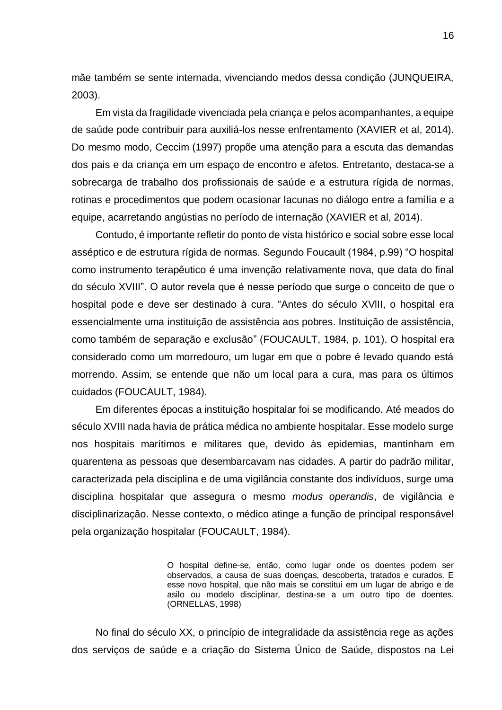mãe também se sente internada, vivenciando medos dessa condição (JUNQUEIRA, 2003).

Em vista da fragilidade vivenciada pela criança e pelos acompanhantes, a equipe de saúde pode contribuir para auxiliá-los nesse enfrentamento (XAVIER et al, 2014). Do mesmo modo, Ceccim (1997) propõe uma atenção para a escuta das demandas dos pais e da criança em um espaço de encontro e afetos. Entretanto, destaca-se a sobrecarga de trabalho dos profissionais de saúde e a estrutura rígida de normas, rotinas e procedimentos que podem ocasionar lacunas no diálogo entre a família e a equipe, acarretando angústias no período de internação (XAVIER et al, 2014).

Contudo, é importante refletir do ponto de vista histórico e social sobre esse local asséptico e de estrutura rígida de normas. Segundo Foucault (1984, p.99) "O hospital como instrumento terapêutico é uma invenção relativamente nova, que data do final do século XVIII". O autor revela que é nesse período que surge o conceito de que o hospital pode e deve ser destinado à cura. "Antes do século XVlII, o hospital era essencialmente uma instituição de assistência aos pobres. Instituição de assistência, como também de separação e exclusão" (FOUCAULT, 1984, p. 101). O hospital era considerado como um morredouro, um lugar em que o pobre é levado quando está morrendo. Assim, se entende que não um local para a cura, mas para os últimos cuidados (FOUCAULT, 1984).

Em diferentes épocas a instituição hospitalar foi se modificando. Até meados do século XVIII nada havia de prática médica no ambiente hospitalar. Esse modelo surge nos hospitais marítimos e militares que, devido às epidemias, mantinham em quarentena as pessoas que desembarcavam nas cidades. A partir do padrão militar, caracterizada pela disciplina e de uma vigilância constante dos indivíduos, surge uma disciplina hospitalar que assegura o mesmo *modus operandis*, de vigilância e disciplinarização. Nesse contexto, o médico atinge a função de principal responsável pela organização hospitalar (FOUCAULT, 1984).

> O hospital define-se, então, como lugar onde os doentes podem ser observados, a causa de suas doenças, descoberta, tratados e curados. E esse novo hospital, que não mais se constitui em um lugar de abrigo e de asilo ou modelo disciplinar, destina-se a um outro tipo de doentes. (ORNELLAS, 1998)

No final do século XX, o princípio de integralidade da assistência rege as ações dos serviços de saúde e a criação do Sistema Único de Saúde, dispostos na Lei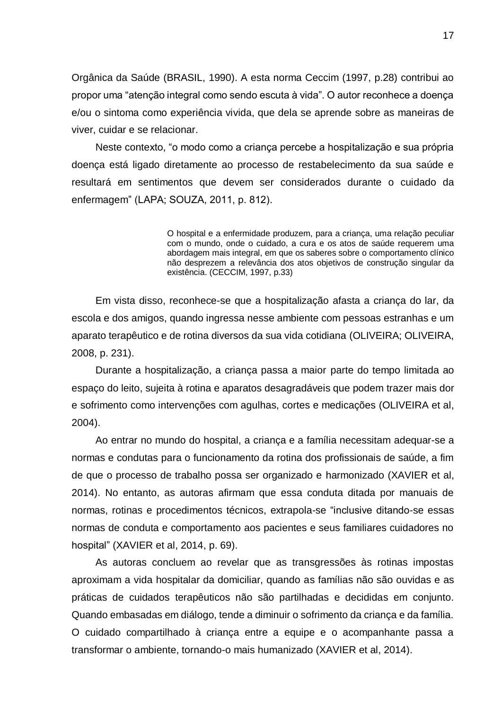Orgânica da Saúde (BRASIL, 1990). A esta norma Ceccim (1997, p.28) contribui ao propor uma "atenção integral como sendo escuta à vida". O autor reconhece a doença e/ou o sintoma como experiência vivida, que dela se aprende sobre as maneiras de viver, cuidar e se relacionar.

Neste contexto, "o modo como a criança percebe a hospitalização e sua própria doença está ligado diretamente ao processo de restabelecimento da sua saúde e resultará em sentimentos que devem ser considerados durante o cuidado da enfermagem" (LAPA; SOUZA, 2011, p. 812).

> O hospital e a enfermidade produzem, para a criança, uma relação peculiar com o mundo, onde o cuidado, a cura e os atos de saúde requerem uma abordagem mais integral, em que os saberes sobre o comportamento clínico não desprezem a relevância dos atos objetivos de construção singular da existência. (CECCIM, 1997, p.33)

Em vista disso, reconhece-se que a hospitalização afasta a criança do lar, da escola e dos amigos, quando ingressa nesse ambiente com pessoas estranhas e um aparato terapêutico e de rotina diversos da sua vida cotidiana (OLIVEIRA; OLIVEIRA, 2008, p. 231).

Durante a hospitalização, a criança passa a maior parte do tempo limitada ao espaço do leito, sujeita à rotina e aparatos desagradáveis que podem trazer mais dor e sofrimento como intervenções com agulhas, cortes e medicações (OLIVEIRA et al, 2004).

Ao entrar no mundo do hospital, a criança e a família necessitam adequar-se a normas e condutas para o funcionamento da rotina dos profissionais de saúde, a fim de que o processo de trabalho possa ser organizado e harmonizado (XAVIER et al, 2014). No entanto, as autoras afirmam que essa conduta ditada por manuais de normas, rotinas e procedimentos técnicos, extrapola-se "inclusive ditando-se essas normas de conduta e comportamento aos pacientes e seus familiares cuidadores no hospital" (XAVIER et al, 2014, p. 69).

As autoras concluem ao revelar que as transgressões às rotinas impostas aproximam a vida hospitalar da domiciliar, quando as famílias não são ouvidas e as práticas de cuidados terapêuticos não são partilhadas e decididas em conjunto. Quando embasadas em diálogo, tende a diminuir o sofrimento da criança e da família. O cuidado compartilhado à criança entre a equipe e o acompanhante passa a transformar o ambiente, tornando-o mais humanizado (XAVIER et al, 2014).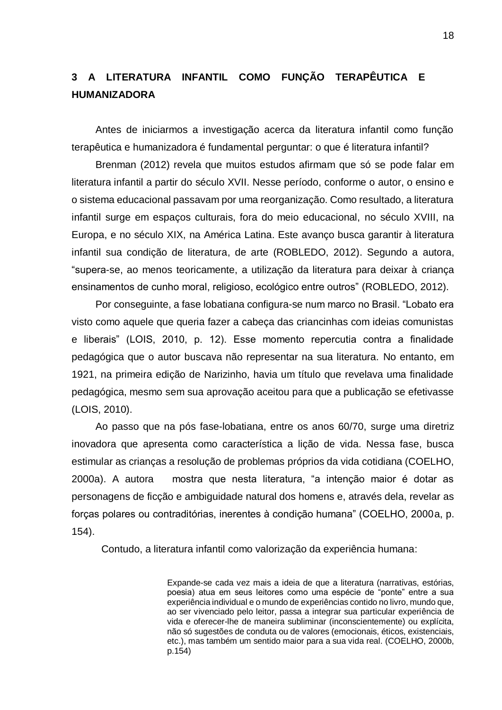# <span id="page-18-0"></span>**3 A LITERATURA INFANTIL COMO FUNÇÃO TERAPÊUTICA E HUMANIZADORA**

Antes de iniciarmos a investigação acerca da literatura infantil como função terapêutica e humanizadora é fundamental perguntar: o que é literatura infantil?

Brenman (2012) revela que muitos estudos afirmam que só se pode falar em literatura infantil a partir do século XVII. Nesse período, conforme o autor, o ensino e o sistema educacional passavam por uma reorganização. Como resultado, a literatura infantil surge em espaços culturais, fora do meio educacional, no século XVIII, na Europa, e no século XIX, na América Latina. Este avanço busca garantir à literatura infantil sua condição de literatura, de arte (ROBLEDO, 2012). Segundo a autora, "supera-se, ao menos teoricamente, a utilização da literatura para deixar à criança ensinamentos de cunho moral, religioso, ecológico entre outros" (ROBLEDO, 2012).

Por conseguinte, a fase lobatiana configura-se num marco no Brasil. "Lobato era visto como aquele que queria fazer a cabeça das criancinhas com ideias comunistas e liberais" (LOIS, 2010, p. 12). Esse momento repercutia contra a finalidade pedagógica que o autor buscava não representar na sua literatura. No entanto, em 1921, na primeira edição de Narizinho, havia um título que revelava uma finalidade pedagógica, mesmo sem sua aprovação aceitou para que a publicação se efetivasse (LOIS, 2010).

Ao passo que na pós fase-lobatiana, entre os anos 60/70, surge uma diretriz inovadora que apresenta como característica a lição de vida. Nessa fase, busca estimular as crianças a resolução de problemas próprios da vida cotidiana (COELHO, 2000a). A autora mostra que nesta literatura, "a intenção maior é dotar as personagens de ficção e ambiguidade natural dos homens e, através dela, revelar as forças polares ou contraditórias, inerentes à condição humana" (COELHO, 2000a, p. 154).

Contudo, a literatura infantil como valorização da experiência humana:

Expande-se cada vez mais a ideia de que a literatura (narrativas, estórias, poesia) atua em seus leitores como uma espécie de "ponte" entre a sua experiência individual e o mundo de experiências contido no livro, mundo que, ao ser vivenciado pelo leitor, passa a integrar sua particular experiência de vida e oferecer-lhe de maneira subliminar (inconscientemente) ou explícita, não só sugestões de conduta ou de valores (emocionais, éticos, existenciais, etc.), mas também um sentido maior para a sua vida real. (COELHO, 2000b, p.154)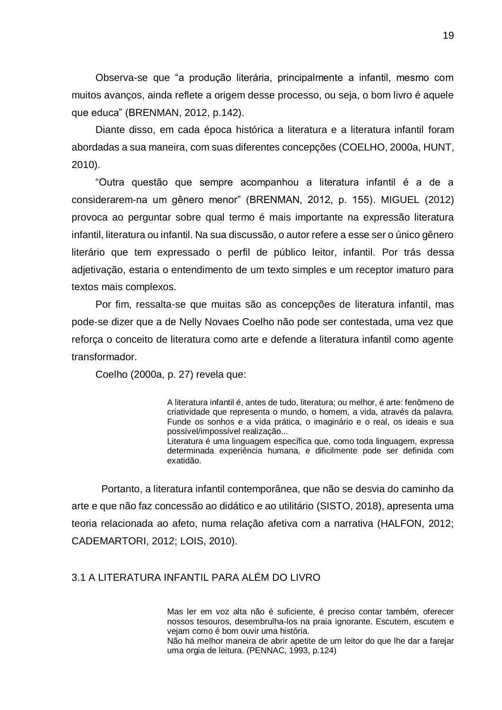Observa-se que "a produção literária, principalmente a infantil, mesmo com muitos avanços, ainda reflete a origem desse processo, ou seja, o bom livro é aquele que educa" (BRENMAN, 2012, p.142).

Diante disso, em cada época histórica a literatura e a literatura infantil foram abordadas a sua maneira, com suas diferentes concepções (COELHO, 2000a, HUNT, 2010).

"Outra questão que sempre acompanhou a literatura infantil é a de a considerarem-na um gênero menor" (BRENMAN, 2012, p. 155). MIGUEL (2012) provoca ao perguntar sobre qual termo é mais importante na expressão literatura infantil, literatura ou infantil. Na sua discussão, o autor refere a esse ser o único gênero literário que tem expressado o perfil de público leitor, infantil. Por trás dessa adjetivação, estaria o entendimento de um texto simples e um receptor imaturo para textos mais complexos.

Por fim, ressalta-se que muitas são as concepções de literatura infantil, mas pode-se dizer que a de Nelly Novaes Coelho não pode ser contestada, uma vez que reforça o conceito de literatura como arte e defende a literatura infantil como agente transformador.

Coelho (2000a, p. 27) revela que:

A literatura infantil é, antes de tudo, literatura; ou melhor, é arte: fenômeno de criatividade que representa o mundo, o homem, a vida, através da palavra. Funde os sonhos e a vida prática, o imaginário e o real, os ideais e sua possível/impossível realização... Literatura é uma linguagem específica que, como toda linguagem, expressa

determinada experiência humana, e dificilmente pode ser definida com exatidão.

Portanto, a literatura infantil contemporânea, que não se desvia do caminho da arte e que não faz concessão ao didático e ao utilitário (SISTO, 2018), apresenta uma teoria relacionada ao afeto, numa relação afetiva com a narrativa (HALFON, 2012; CADEMARTORI, 2012; LOIS, 2010).

### <span id="page-19-0"></span>3.1 A LITERATURA INFANTIL PARA ALÉM DO LIVRO

Mas ler em voz alta não é suficiente, é preciso contar também, oferecer nossos tesouros, desembrulha-los na praia ignorante. Escutem, escutem e vejam como é bom ouvir uma história.

Não há melhor maneira de abrir apetite de um leitor do que lhe dar a farejar uma orgia de leitura. (PENNAC, 1993, p.124)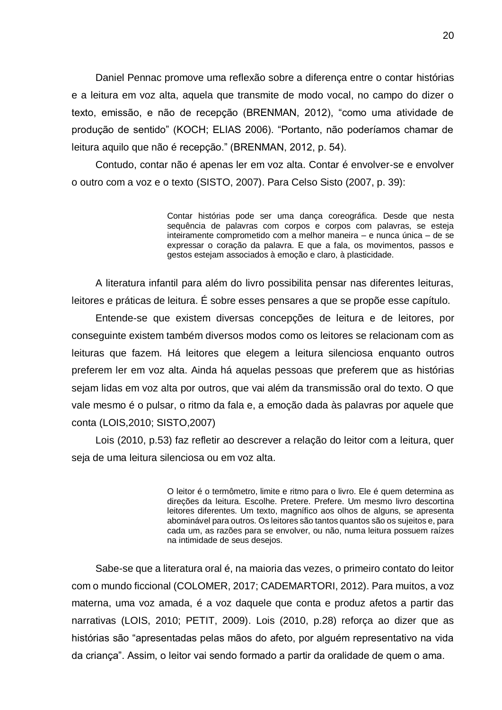Daniel Pennac promove uma reflexão sobre a diferença entre o contar histórias e a leitura em voz alta, aquela que transmite de modo vocal, no campo do dizer o texto, emissão, e não de recepção (BRENMAN, 2012), "como uma atividade de produção de sentido" (KOCH; ELIAS 2006). "Portanto, não poderíamos chamar de leitura aquilo que não é recepção." (BRENMAN, 2012, p. 54).

Contudo, contar não é apenas ler em voz alta. Contar é envolver-se e envolver o outro com a voz e o texto (SISTO, 2007). Para Celso Sisto (2007, p. 39):

> Contar histórias pode ser uma dança coreográfica. Desde que nesta sequência de palavras com corpos e corpos com palavras, se esteja inteiramente comprometido com a melhor maneira – e nunca única – de se expressar o coração da palavra. E que a fala, os movimentos, passos e gestos estejam associados à emoção e claro, à plasticidade.

A literatura infantil para além do livro possibilita pensar nas diferentes leituras, leitores e práticas de leitura. É sobre esses pensares a que se propõe esse capítulo.

Entende-se que existem diversas concepções de leitura e de leitores, por conseguinte existem também diversos modos como os leitores se relacionam com as leituras que fazem. Há leitores que elegem a leitura silenciosa enquanto outros preferem ler em voz alta. Ainda há aquelas pessoas que preferem que as histórias sejam lidas em voz alta por outros, que vai além da transmissão oral do texto. O que vale mesmo é o pulsar, o ritmo da fala e, a emoção dada às palavras por aquele que conta (LOIS,2010; SISTO,2007)

Lois (2010, p.53) faz refletir ao descrever a relação do leitor com a leitura, quer seja de uma leitura silenciosa ou em voz alta.

> O leitor é o termômetro, limite e ritmo para o livro. Ele é quem determina as direções da leitura. Escolhe. Pretere. Prefere. Um mesmo livro descortina leitores diferentes. Um texto, magnífico aos olhos de alguns, se apresenta abominável para outros. Os leitores são tantos quantos são os sujeitos e, para cada um, as razões para se envolver, ou não, numa leitura possuem raízes na intimidade de seus desejos.

Sabe-se que a literatura oral é, na maioria das vezes, o primeiro contato do leitor com o mundo ficcional (COLOMER, 2017; CADEMARTORI, 2012). Para muitos, a voz materna, uma voz amada, é a voz daquele que conta e produz afetos a partir das narrativas (LOIS, 2010; PETIT, 2009). Lois (2010, p.28) reforça ao dizer que as histórias são "apresentadas pelas mãos do afeto, por alguém representativo na vida da criança". Assim, o leitor vai sendo formado a partir da oralidade de quem o ama.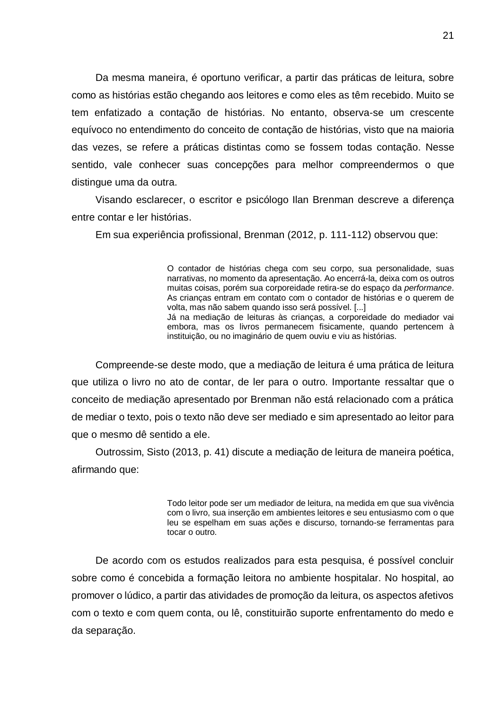Da mesma maneira, é oportuno verificar, a partir das práticas de leitura, sobre como as histórias estão chegando aos leitores e como eles as têm recebido. Muito se tem enfatizado a contação de histórias. No entanto, observa-se um crescente equívoco no entendimento do conceito de contação de histórias, visto que na maioria das vezes, se refere a práticas distintas como se fossem todas contação. Nesse sentido, vale conhecer suas concepções para melhor compreendermos o que distingue uma da outra.

Visando esclarecer, o escritor e psicólogo Ilan Brenman descreve a diferença entre contar e ler histórias.

Em sua experiência profissional, Brenman (2012, p. 111-112) observou que:

O contador de histórias chega com seu corpo, sua personalidade, suas narrativas, no momento da apresentação. Ao encerrá-la, deixa com os outros muitas coisas, porém sua corporeidade retira-se do espaço da *performance*. As crianças entram em contato com o contador de histórias e o querem de volta, mas não sabem quando isso será possível. [...] Já na mediação de leituras às crianças, a corporeidade do mediador vai embora, mas os livros permanecem fisicamente, quando pertencem à instituição, ou no imaginário de quem ouviu e viu as histórias.

Compreende-se deste modo, que a mediação de leitura é uma prática de leitura que utiliza o livro no ato de contar, de ler para o outro. Importante ressaltar que o conceito de mediação apresentado por Brenman não está relacionado com a prática de mediar o texto, pois o texto não deve ser mediado e sim apresentado ao leitor para que o mesmo dê sentido a ele.

Outrossim, Sisto (2013, p. 41) discute a mediação de leitura de maneira poética, afirmando que:

> Todo leitor pode ser um mediador de leitura, na medida em que sua vivência com o livro, sua inserção em ambientes leitores e seu entusiasmo com o que leu se espelham em suas ações e discurso, tornando-se ferramentas para tocar o outro.

De acordo com os estudos realizados para esta pesquisa, é possível concluir sobre como é concebida a formação leitora no ambiente hospitalar. No hospital, ao promover o lúdico, a partir das atividades de promoção da leitura, os aspectos afetivos com o texto e com quem conta, ou lê, constituirão suporte enfrentamento do medo e da separação.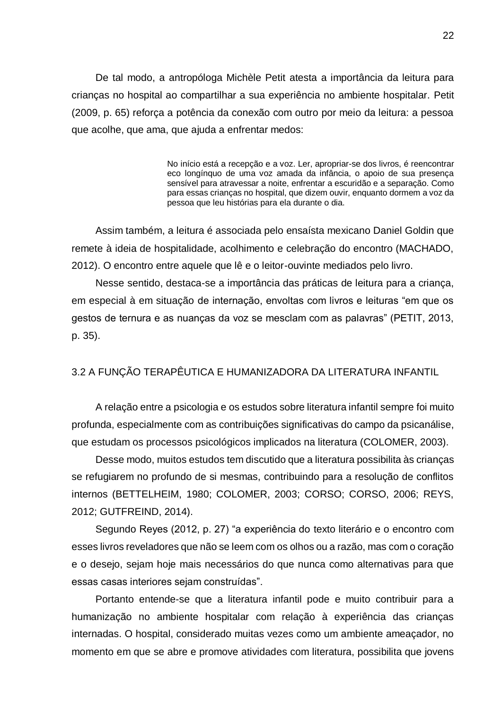De tal modo, a antropóloga Michèle Petit atesta a importância da leitura para crianças no hospital ao compartilhar a sua experiência no ambiente hospitalar. Petit (2009, p. 65) reforça a potência da conexão com outro por meio da leitura: a pessoa que acolhe, que ama, que ajuda a enfrentar medos:

> No início está a recepção e a voz. Ler, apropriar-se dos livros, é reencontrar eco longínquo de uma voz amada da infância, o apoio de sua presença sensível para atravessar a noite, enfrentar a escuridão e a separação. Como para essas crianças no hospital, que dizem ouvir, enquanto dormem a voz da pessoa que leu histórias para ela durante o dia.

Assim também, a leitura é associada pelo ensaísta mexicano Daniel Goldin que remete à ideia de hospitalidade, acolhimento e celebração do encontro (MACHADO, 2012). O encontro entre aquele que lê e o leitor-ouvinte mediados pelo livro.

Nesse sentido, destaca-se a importância das práticas de leitura para a criança, em especial à em situação de internação, envoltas com livros e leituras "em que os gestos de ternura e as nuanças da voz se mesclam com as palavras" (PETIT, 2013, p. 35).

#### <span id="page-22-0"></span>3.2 A FUNÇÃO TERAPÊUTICA E HUMANIZADORA DA LITERATURA INFANTIL

A relação entre a psicologia e os estudos sobre literatura infantil sempre foi muito profunda, especialmente com as contribuições significativas do campo da psicanálise, que estudam os processos psicológicos implicados na literatura (COLOMER, 2003).

Desse modo, muitos estudos tem discutido que a literatura possibilita às crianças se refugiarem no profundo de si mesmas, contribuindo para a resolução de conflitos internos (BETTELHEIM, 1980; COLOMER, 2003; CORSO; CORSO, 2006; REYS, 2012; GUTFREIND, 2014).

Segundo Reyes (2012, p. 27) "a experiência do texto literário e o encontro com esses livros reveladores que não se leem com os olhos ou a razão, mas com o coração e o desejo, sejam hoje mais necessários do que nunca como alternativas para que essas casas interiores sejam construídas".

Portanto entende-se que a literatura infantil pode e muito contribuir para a humanização no ambiente hospitalar com relação à experiência das crianças internadas. O hospital, considerado muitas vezes como um ambiente ameaçador, no momento em que se abre e promove atividades com literatura, possibilita que jovens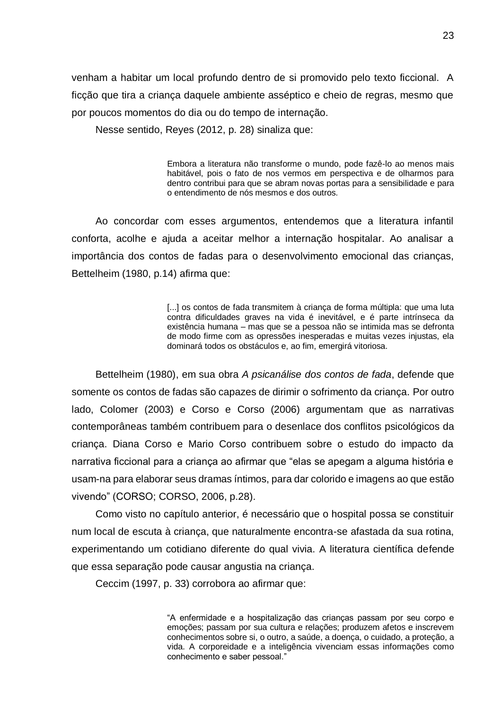venham a habitar um local profundo dentro de si promovido pelo texto ficcional. A ficção que tira a criança daquele ambiente asséptico e cheio de regras, mesmo que por poucos momentos do dia ou do tempo de internação.

Nesse sentido, Reyes (2012, p. 28) sinaliza que:

Embora a literatura não transforme o mundo, pode fazê-lo ao menos mais habitável, pois o fato de nos vermos em perspectiva e de olharmos para dentro contribui para que se abram novas portas para a sensibilidade e para o entendimento de nós mesmos e dos outros.

Ao concordar com esses argumentos, entendemos que a literatura infantil conforta, acolhe e ajuda a aceitar melhor a internação hospitalar. Ao analisar a importância dos contos de fadas para o desenvolvimento emocional das crianças, Bettelheim (1980, p.14) afirma que:

> [...] os contos de fada transmitem à crianca de forma múltipla: que uma luta contra dificuldades graves na vida é inevitável, e é parte intrínseca da existência humana – mas que se a pessoa não se intimida mas se defronta de modo firme com as opressões inesperadas e muitas vezes injustas, ela dominará todos os obstáculos e, ao fim, emergirá vitoriosa.

Bettelheim (1980), em sua obra *A psicanálise dos contos de fada*, defende que somente os contos de fadas são capazes de dirimir o sofrimento da criança. Por outro lado, Colomer (2003) e Corso e Corso (2006) argumentam que as narrativas contemporâneas também contribuem para o desenlace dos conflitos psicológicos da criança. Diana Corso e Mario Corso contribuem sobre o estudo do impacto da narrativa ficcional para a criança ao afirmar que "elas se apegam a alguma história e usam-na para elaborar seus dramas íntimos, para dar colorido e imagens ao que estão vivendo" (CORSO; CORSO, 2006, p.28).

Como visto no capítulo anterior, é necessário que o hospital possa se constituir num local de escuta à criança, que naturalmente encontra-se afastada da sua rotina, experimentando um cotidiano diferente do qual vivia. A literatura científica defende que essa separação pode causar angustia na criança.

Ceccim (1997, p. 33) corrobora ao afirmar que:

"A enfermidade e a hospitalização das crianças passam por seu corpo e emoções; passam por sua cultura e relações; produzem afetos e inscrevem conhecimentos sobre si, o outro, a saúde, a doença, o cuidado, a proteção, a vida. A corporeidade e a inteligência vivenciam essas informações como conhecimento e saber pessoal."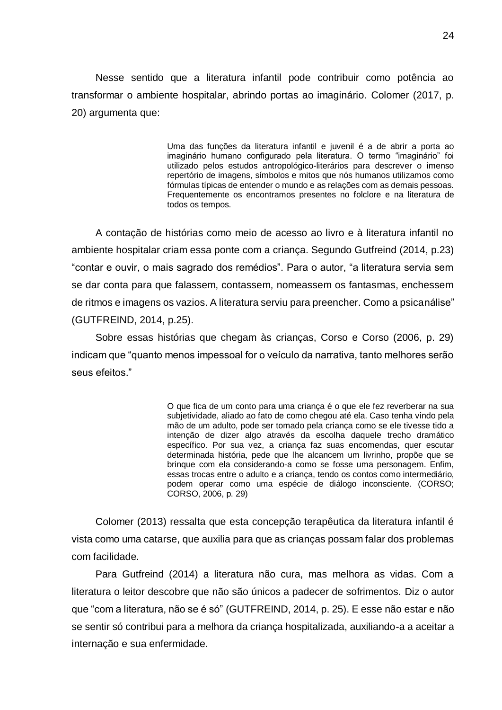Nesse sentido que a literatura infantil pode contribuir como potência ao transformar o ambiente hospitalar, abrindo portas ao imaginário. Colomer (2017, p. 20) argumenta que:

> Uma das funções da literatura infantil e juvenil é a de abrir a porta ao imaginário humano configurado pela literatura. O termo "imaginário" foi utilizado pelos estudos antropológico-literários para descrever o imenso repertório de imagens, símbolos e mitos que nós humanos utilizamos como fórmulas típicas de entender o mundo e as relações com as demais pessoas. Frequentemente os encontramos presentes no folclore e na literatura de todos os tempos.

A contação de histórias como meio de acesso ao livro e à literatura infantil no ambiente hospitalar criam essa ponte com a criança. Segundo Gutfreind (2014, p.23) "contar e ouvir, o mais sagrado dos remédios". Para o autor, "a literatura servia sem se dar conta para que falassem, contassem, nomeassem os fantasmas, enchessem de ritmos e imagens os vazios. A literatura serviu para preencher. Como a psicanálise" (GUTFREIND, 2014, p.25).

Sobre essas histórias que chegam às crianças, Corso e Corso (2006, p. 29) indicam que "quanto menos impessoal for o veículo da narrativa, tanto melhores serão seus efeitos."

> O que fica de um conto para uma criança é o que ele fez reverberar na sua subjetividade, aliado ao fato de como chegou até ela. Caso tenha vindo pela mão de um adulto, pode ser tomado pela criança como se ele tivesse tido a intenção de dizer algo através da escolha daquele trecho dramático específico. Por sua vez, a criança faz suas encomendas, quer escutar determinada história, pede que lhe alcancem um livrinho, propõe que se brinque com ela considerando-a como se fosse uma personagem. Enfim, essas trocas entre o adulto e a criança, tendo os contos como intermediário, podem operar como uma espécie de diálogo inconsciente. (CORSO; CORSO, 2006, p. 29)

Colomer (2013) ressalta que esta concepção terapêutica da literatura infantil é vista como uma catarse, que auxilia para que as crianças possam falar dos problemas com facilidade.

Para Gutfreind (2014) a literatura não cura, mas melhora as vidas. Com a literatura o leitor descobre que não são únicos a padecer de sofrimentos. Diz o autor que "com a literatura, não se é só" (GUTFREIND, 2014, p. 25). E esse não estar e não se sentir só contribui para a melhora da criança hospitalizada, auxiliando-a a aceitar a internação e sua enfermidade.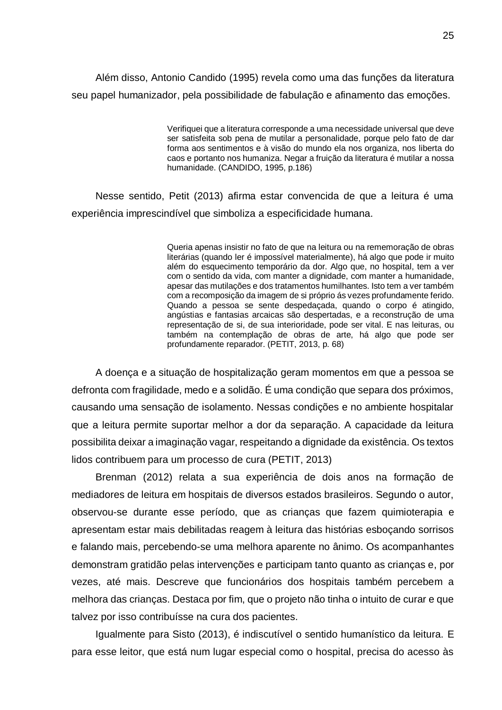Além disso, Antonio Candido (1995) revela como uma das funções da literatura seu papel humanizador, pela possibilidade de fabulação e afinamento das emoções.

> Verifiquei que a literatura corresponde a uma necessidade universal que deve ser satisfeita sob pena de mutilar a personalidade, porque pelo fato de dar forma aos sentimentos e à visão do mundo ela nos organiza, nos liberta do caos e portanto nos humaniza. Negar a fruição da literatura é mutilar a nossa humanidade. (CANDIDO, 1995, p.186)

Nesse sentido, Petit (2013) afirma estar convencida de que a leitura é uma experiência imprescindível que simboliza a especificidade humana.

> Queria apenas insistir no fato de que na leitura ou na rememoração de obras literárias (quando ler é impossível materialmente), há algo que pode ir muito além do esquecimento temporário da dor. Algo que, no hospital, tem a ver com o sentido da vida, com manter a dignidade, com manter a humanidade, apesar das mutilações e dos tratamentos humilhantes. Isto tem a ver também com a recomposição da imagem de si próprio ás vezes profundamente ferido. Quando a pessoa se sente despedaçada, quando o corpo é atingido, angústias e fantasias arcaicas são despertadas, e a reconstrução de uma representação de si, de sua interioridade, pode ser vital. E nas leituras, ou também na contemplação de obras de arte, há algo que pode ser profundamente reparador. (PETIT, 2013, p. 68)

A doença e a situação de hospitalização geram momentos em que a pessoa se defronta com fragilidade, medo e a solidão. É uma condição que separa dos próximos, causando uma sensação de isolamento. Nessas condições e no ambiente hospitalar que a leitura permite suportar melhor a dor da separação. A capacidade da leitura possibilita deixar a imaginação vagar, respeitando a dignidade da existência. Os textos lidos contribuem para um processo de cura (PETIT, 2013)

Brenman (2012) relata a sua experiência de dois anos na formação de mediadores de leitura em hospitais de diversos estados brasileiros. Segundo o autor, observou-se durante esse período, que as crianças que fazem quimioterapia e apresentam estar mais debilitadas reagem à leitura das histórias esboçando sorrisos e falando mais, percebendo-se uma melhora aparente no ânimo. Os acompanhantes demonstram gratidão pelas intervenções e participam tanto quanto as crianças e, por vezes, até mais. Descreve que funcionários dos hospitais também percebem a melhora das crianças. Destaca por fim, que o projeto não tinha o intuito de curar e que talvez por isso contribuísse na cura dos pacientes.

Igualmente para Sisto (2013), é indiscutível o sentido humanístico da leitura. E para esse leitor, que está num lugar especial como o hospital, precisa do acesso às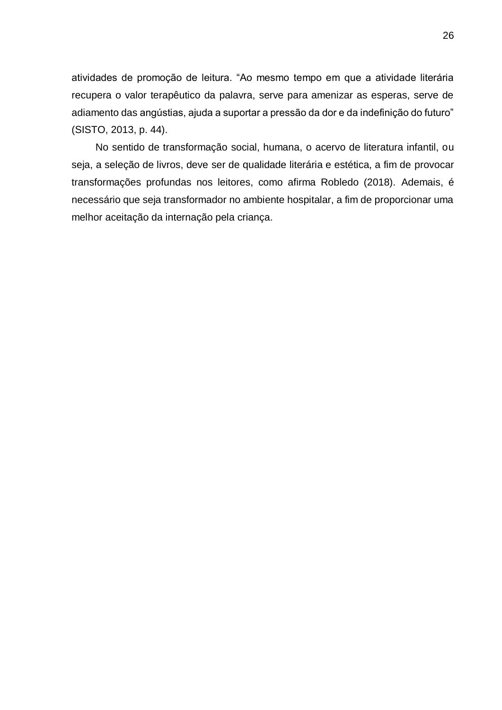atividades de promoção de leitura. "Ao mesmo tempo em que a atividade literária recupera o valor terapêutico da palavra, serve para amenizar as esperas, serve de adiamento das angústias, ajuda a suportar a pressão da dor e da indefinição do futuro" (SISTO, 2013, p. 44).

No sentido de transformação social, humana, o acervo de literatura infantil, ou seja, a seleção de livros, deve ser de qualidade literária e estética, a fim de provocar transformações profundas nos leitores, como afirma Robledo (2018). Ademais, é necessário que seja transformador no ambiente hospitalar, a fim de proporcionar uma melhor aceitação da internação pela criança.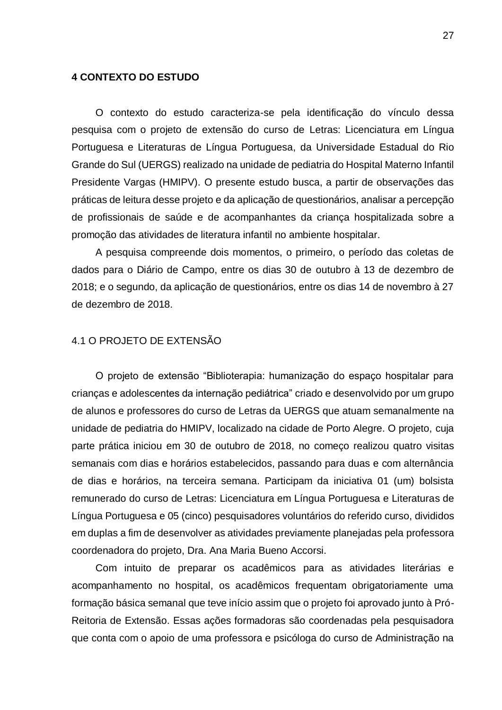#### <span id="page-27-0"></span>**4 CONTEXTO DO ESTUDO**

O contexto do estudo caracteriza-se pela identificação do vínculo dessa pesquisa com o projeto de extensão do curso de Letras: Licenciatura em Língua Portuguesa e Literaturas de Língua Portuguesa, da Universidade Estadual do Rio Grande do Sul (UERGS) realizado na unidade de pediatria do Hospital Materno Infantil Presidente Vargas (HMIPV). O presente estudo busca, a partir de observações das práticas de leitura desse projeto e da aplicação de questionários, analisar a percepção de profissionais de saúde e de acompanhantes da criança hospitalizada sobre a promoção das atividades de literatura infantil no ambiente hospitalar.

A pesquisa compreende dois momentos, o primeiro, o período das coletas de dados para o Diário de Campo, entre os dias 30 de outubro à 13 de dezembro de 2018; e o segundo, da aplicação de questionários, entre os dias 14 de novembro à 27 de dezembro de 2018.

### <span id="page-27-1"></span>4.1 O PROJETO DE EXTENSÃO

O projeto de extensão "Biblioterapia: humanização do espaço hospitalar para crianças e adolescentes da internação pediátrica" criado e desenvolvido por um grupo de alunos e professores do curso de Letras da UERGS que atuam semanalmente na unidade de pediatria do HMIPV, localizado na cidade de Porto Alegre. O projeto, cuja parte prática iniciou em 30 de outubro de 2018, no começo realizou quatro visitas semanais com dias e horários estabelecidos, passando para duas e com alternância de dias e horários, na terceira semana. Participam da iniciativa 01 (um) bolsista remunerado do curso de Letras: Licenciatura em Língua Portuguesa e Literaturas de Língua Portuguesa e 05 (cinco) pesquisadores voluntários do referido curso, divididos em duplas a fim de desenvolver as atividades previamente planejadas pela professora coordenadora do projeto, Dra. Ana Maria Bueno Accorsi.

Com intuito de preparar os acadêmicos para as atividades literárias e acompanhamento no hospital, os acadêmicos frequentam obrigatoriamente uma formação básica semanal que teve início assim que o projeto foi aprovado junto à Pró-Reitoria de Extensão. Essas ações formadoras são coordenadas pela pesquisadora que conta com o apoio de uma professora e psicóloga do curso de Administração na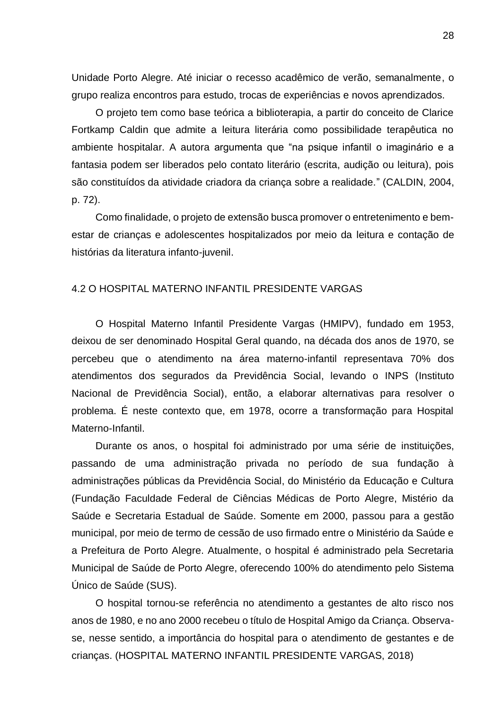Unidade Porto Alegre. Até iniciar o recesso acadêmico de verão, semanalmente, o grupo realiza encontros para estudo, trocas de experiências e novos aprendizados.

O projeto tem como base teórica a biblioterapia, a partir do conceito de Clarice Fortkamp Caldin que admite a leitura literária como possibilidade terapêutica no ambiente hospitalar. A autora argumenta que "na psique infantil o imaginário e a fantasia podem ser liberados pelo contato literário (escrita, audição ou leitura), pois são constituídos da atividade criadora da criança sobre a realidade." (CALDIN, 2004, p. 72).

Como finalidade, o projeto de extensão busca promover o entretenimento e bemestar de crianças e adolescentes hospitalizados por meio da leitura e contação de histórias da literatura infanto-juvenil.

### <span id="page-28-0"></span>4.2 O HOSPITAL MATERNO INFANTIL PRESIDENTE VARGAS

O Hospital Materno Infantil Presidente Vargas (HMIPV), fundado em 1953, deixou de ser denominado Hospital Geral quando, na década dos anos de 1970, se percebeu que o atendimento na área materno-infantil representava 70% dos atendimentos dos segurados da Previdência Social, levando o INPS (Instituto Nacional de Previdência Social), então, a elaborar alternativas para resolver o problema. É neste contexto que, em 1978, ocorre a transformação para Hospital Materno-Infantil.

Durante os anos, o hospital foi administrado por uma série de instituições, passando de uma administração privada no período de sua fundação à administrações públicas da Previdência Social, do Ministério da Educação e Cultura (Fundação Faculdade Federal de Ciências Médicas de Porto Alegre, Mistério da Saúde e Secretaria Estadual de Saúde. Somente em 2000, passou para a gestão municipal, por meio de termo de cessão de uso firmado entre o Ministério da Saúde e a Prefeitura de Porto Alegre. Atualmente, o hospital é administrado pela Secretaria Municipal de Saúde de Porto Alegre, oferecendo 100% do atendimento pelo Sistema Único de Saúde (SUS).

O hospital tornou-se referência no atendimento a gestantes de alto risco nos anos de 1980, e no ano 2000 recebeu o título de Hospital Amigo da Criança. Observase, nesse sentido, a importância do hospital para o atendimento de gestantes e de crianças. (HOSPITAL MATERNO INFANTIL PRESIDENTE VARGAS, 2018)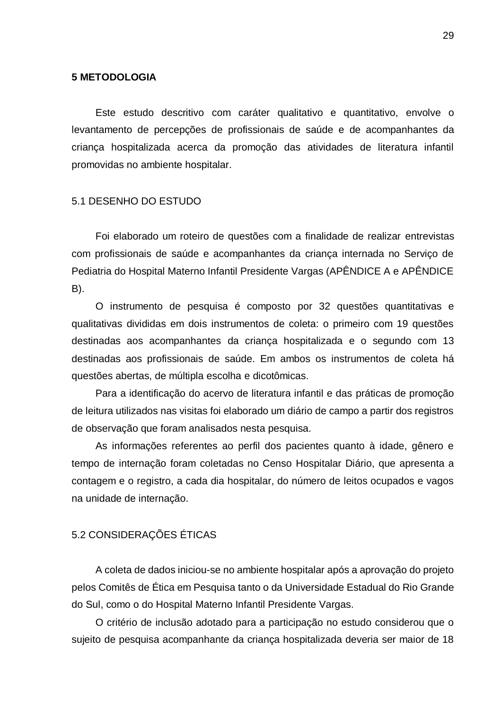#### <span id="page-29-0"></span>**5 METODOLOGIA**

Este estudo descritivo com caráter qualitativo e quantitativo, envolve o levantamento de percepções de profissionais de saúde e de acompanhantes da criança hospitalizada acerca da promoção das atividades de literatura infantil promovidas no ambiente hospitalar.

### <span id="page-29-1"></span>5.1 DESENHO DO ESTUDO

Foi elaborado um roteiro de questões com a finalidade de realizar entrevistas com profissionais de saúde e acompanhantes da criança internada no Serviço de Pediatria do Hospital Materno Infantil Presidente Vargas (APÊNDICE A e APÊNDICE B).

O instrumento de pesquisa é composto por 32 questões quantitativas e qualitativas divididas em dois instrumentos de coleta: o primeiro com 19 questões destinadas aos acompanhantes da criança hospitalizada e o segundo com 13 destinadas aos profissionais de saúde. Em ambos os instrumentos de coleta há questões abertas, de múltipla escolha e dicotômicas.

Para a identificação do acervo de literatura infantil e das práticas de promoção de leitura utilizados nas visitas foi elaborado um diário de campo a partir dos registros de observação que foram analisados nesta pesquisa.

As informações referentes ao perfil dos pacientes quanto à idade, gênero e tempo de internação foram coletadas no Censo Hospitalar Diário, que apresenta a contagem e o registro, a cada dia hospitalar, do número de leitos ocupados e vagos na unidade de internação.

### <span id="page-29-2"></span>5.2 CONSIDERAÇÕES ÉTICAS

A coleta de dados iniciou-se no ambiente hospitalar após a aprovação do projeto pelos Comitês de Ética em Pesquisa tanto o da Universidade Estadual do Rio Grande do Sul, como o do Hospital Materno Infantil Presidente Vargas.

O critério de inclusão adotado para a participação no estudo considerou que o sujeito de pesquisa acompanhante da criança hospitalizada deveria ser maior de 18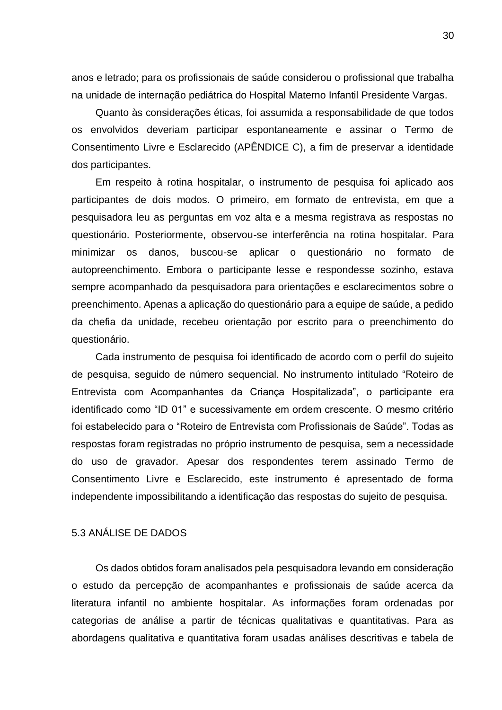anos e letrado; para os profissionais de saúde considerou o profissional que trabalha na unidade de internação pediátrica do Hospital Materno Infantil Presidente Vargas.

Quanto às considerações éticas, foi assumida a responsabilidade de que todos os envolvidos deveriam participar espontaneamente e assinar o Termo de Consentimento Livre e Esclarecido (APÊNDICE C), a fim de preservar a identidade dos participantes.

Em respeito à rotina hospitalar, o instrumento de pesquisa foi aplicado aos participantes de dois modos. O primeiro, em formato de entrevista, em que a pesquisadora leu as perguntas em voz alta e a mesma registrava as respostas no questionário. Posteriormente, observou-se interferência na rotina hospitalar. Para minimizar os danos, buscou-se aplicar o questionário no formato de autopreenchimento. Embora o participante lesse e respondesse sozinho, estava sempre acompanhado da pesquisadora para orientações e esclarecimentos sobre o preenchimento. Apenas a aplicação do questionário para a equipe de saúde, a pedido da chefia da unidade, recebeu orientação por escrito para o preenchimento do questionário.

Cada instrumento de pesquisa foi identificado de acordo com o perfil do sujeito de pesquisa, seguido de número sequencial. No instrumento intitulado "Roteiro de Entrevista com Acompanhantes da Criança Hospitalizada", o participante era identificado como "ID 01" e sucessivamente em ordem crescente. O mesmo critério foi estabelecido para o "Roteiro de Entrevista com Profissionais de Saúde". Todas as respostas foram registradas no próprio instrumento de pesquisa, sem a necessidade do uso de gravador. Apesar dos respondentes terem assinado Termo de Consentimento Livre e Esclarecido, este instrumento é apresentado de forma independente impossibilitando a identificação das respostas do sujeito de pesquisa.

## <span id="page-30-0"></span>5.3 ANÁLISE DE DADOS

Os dados obtidos foram analisados pela pesquisadora levando em consideração o estudo da percepção de acompanhantes e profissionais de saúde acerca da literatura infantil no ambiente hospitalar. As informações foram ordenadas por categorias de análise a partir de técnicas qualitativas e quantitativas. Para as abordagens qualitativa e quantitativa foram usadas análises descritivas e tabela de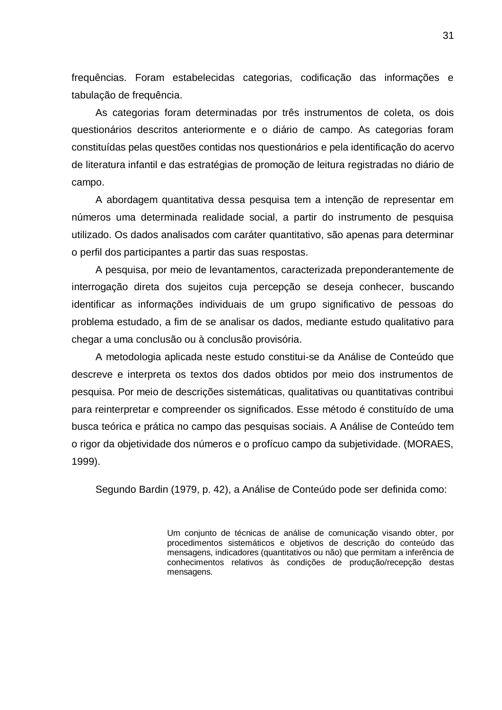frequências. Foram estabelecidas categorias, codificação das informações e tabulação de frequência.

As categorias foram determinadas por três instrumentos de coleta, os dois questionários descritos anteriormente e o diário de campo. As categorias foram constituídas pelas questões contidas nos questionários e pela identificação do acervo de literatura infantil e das estratégias de promoção de leitura registradas no diário de campo.

A abordagem quantitativa dessa pesquisa tem a intenção de representar em números uma determinada realidade social, a partir do instrumento de pesquisa utilizado. Os dados analisados com caráter quantitativo, são apenas para determinar o perfil dos participantes a partir das suas respostas.

A pesquisa, por meio de levantamentos, caracterizada preponderantemente de interrogação direta dos sujeitos cuja percepção se deseja conhecer, buscando identificar as informações individuais de um grupo significativo de pessoas do problema estudado, a fim de se analisar os dados, mediante estudo qualitativo para chegar a uma conclusão ou à conclusão provisória.

A metodologia aplicada neste estudo constitui-se da Análise de Conteúdo que descreve e interpreta os textos dos dados obtidos por meio dos instrumentos de pesquisa. Por meio de descrições sistemáticas, qualitativas ou quantitativas contribui para reinterpretar e compreender os significados. Esse método é constituído de uma busca teórica e prática no campo das pesquisas sociais. A Análise de Conteúdo tem o rigor da objetividade dos números e o profícuo campo da subjetividade. (MORAES, 1999).

Segundo Bardin (1979, p. 42), a Análise de Conteúdo pode ser definida como:

Um conjunto de técnicas de análise de comunicação visando obter, por procedimentos sistemáticos e objetivos de descrição do conteúdo das mensagens, indicadores (quantitativos ou não) que permitam a inferência de conhecimentos relativos às condições de produção/recepção destas mensagens.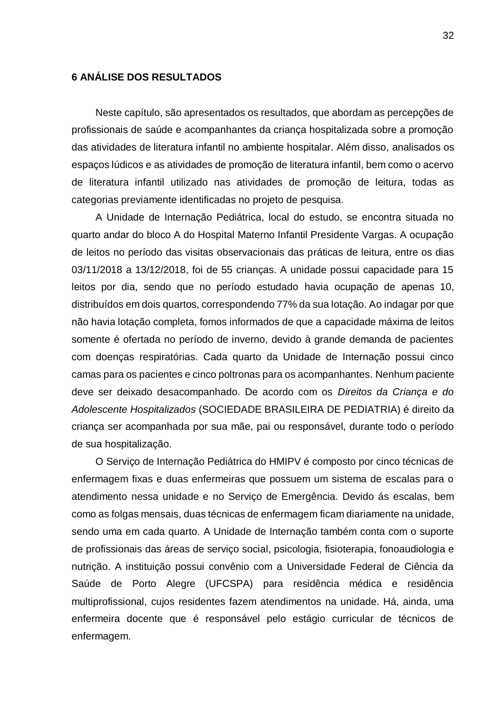### <span id="page-32-0"></span>**6 ANÁLISE DOS RESULTADOS**

Neste capítulo, são apresentados os resultados, que abordam as percepções de profissionais de saúde e acompanhantes da criança hospitalizada sobre a promoção das atividades de literatura infantil no ambiente hospitalar. Além disso, analisados os espaços lúdicos e as atividades de promoção de literatura infantil, bem como o acervo de literatura infantil utilizado nas atividades de promoção de leitura, todas as categorias previamente identificadas no projeto de pesquisa.

A Unidade de Internação Pediátrica, local do estudo, se encontra situada no quarto andar do bloco A do Hospital Materno Infantil Presidente Vargas. A ocupação de leitos no período das visitas observacionais das práticas de leitura, entre os dias 03/11/2018 a 13/12/2018, foi de 55 crianças. A unidade possui capacidade para 15 leitos por dia, sendo que no período estudado havia ocupação de apenas 10, distribuídos em dois quartos, correspondendo 77% da sua lotação. Ao indagar por que não havia lotação completa, fomos informados de que a capacidade máxima de leitos somente é ofertada no período de inverno, devido à grande demanda de pacientes com doenças respiratórias. Cada quarto da Unidade de Internação possui cinco camas para os pacientes e cinco poltronas para os acompanhantes. Nenhum paciente deve ser deixado desacompanhado. De acordo com os *Direitos da Criança e do Adolescente Hospitalizados* (SOCIEDADE BRASILEIRA DE PEDIATRIA) é direito da criança ser acompanhada por sua mãe, pai ou responsável, durante todo o período de sua hospitalização.

O Serviço de Internação Pediátrica do HMIPV é composto por cinco técnicas de enfermagem fixas e duas enfermeiras que possuem um sistema de escalas para o atendimento nessa unidade e no Serviço de Emergência. Devido ás escalas, bem como as folgas mensais, duas técnicas de enfermagem ficam diariamente na unidade, sendo uma em cada quarto. A Unidade de Internação também conta com o suporte de profissionais das áreas de serviço social, psicologia, fisioterapia, fonoaudiologia e nutrição. A instituição possui convênio com a Universidade Federal de Ciência da Saúde de Porto Alegre (UFCSPA) para residência médica e residência multiprofissional, cujos residentes fazem atendimentos na unidade. Há, ainda, uma enfermeira docente que é responsável pelo estágio curricular de técnicos de enfermagem.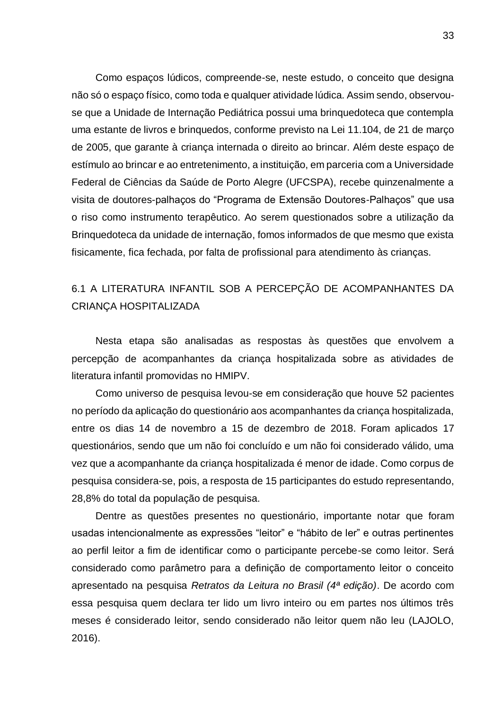Como espaços lúdicos, compreende-se, neste estudo, o conceito que designa não só o espaço físico, como toda e qualquer atividade lúdica. Assim sendo, observouse que a Unidade de Internação Pediátrica possui uma brinquedoteca que contempla uma estante de livros e brinquedos, conforme previsto na Lei 11.104, de 21 de março de 2005, que garante à criança internada o direito ao brincar. Além deste espaço de estímulo ao brincar e ao entretenimento, a instituição, em parceria com a Universidade Federal de Ciências da Saúde de Porto Alegre (UFCSPA), recebe quinzenalmente a visita de doutores-palhaços do "Programa de Extensão Doutores-Palhaços" que usa o riso como instrumento terapêutico. Ao serem questionados sobre a utilização da Brinquedoteca da unidade de internação, fomos informados de que mesmo que exista fisicamente, fica fechada, por falta de profissional para atendimento às crianças.

# <span id="page-33-0"></span>6.1 A LITERATURA INFANTIL SOB A PERCEPÇÃO DE ACOMPANHANTES DA CRIANÇA HOSPITALIZADA

Nesta etapa são analisadas as respostas às questões que envolvem a percepção de acompanhantes da criança hospitalizada sobre as atividades de literatura infantil promovidas no HMIPV.

Como universo de pesquisa levou-se em consideração que houve 52 pacientes no período da aplicação do questionário aos acompanhantes da criança hospitalizada, entre os dias 14 de novembro a 15 de dezembro de 2018. Foram aplicados 17 questionários, sendo que um não foi concluído e um não foi considerado válido, uma vez que a acompanhante da criança hospitalizada é menor de idade. Como corpus de pesquisa considera-se, pois, a resposta de 15 participantes do estudo representando, 28,8% do total da população de pesquisa.

Dentre as questões presentes no questionário, importante notar que foram usadas intencionalmente as expressões "leitor" e "hábito de ler" e outras pertinentes ao perfil leitor a fim de identificar como o participante percebe-se como leitor. Será considerado como parâmetro para a definição de comportamento leitor o conceito apresentado na pesquisa *Retratos da Leitura no Brasil (4ª edição)*. De acordo com essa pesquisa quem declara ter lido um livro inteiro ou em partes nos últimos três meses é considerado leitor, sendo considerado não leitor quem não leu (LAJOLO, 2016).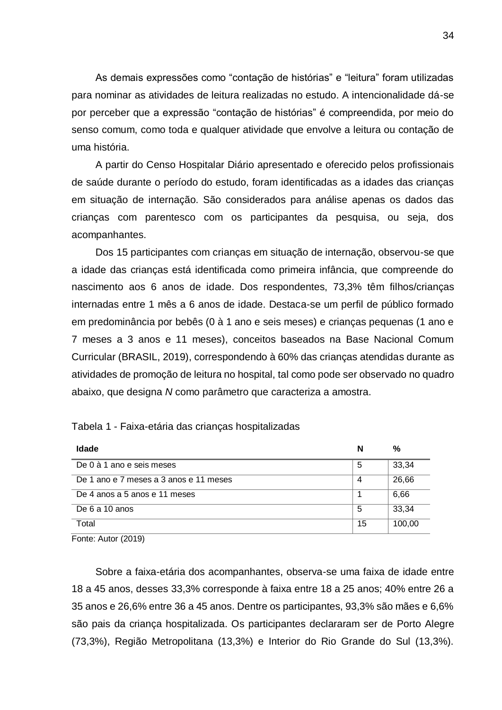As demais expressões como "contação de histórias" e "leitura" foram utilizadas para nominar as atividades de leitura realizadas no estudo. A intencionalidade dá-se por perceber que a expressão "contação de histórias" é compreendida, por meio do senso comum, como toda e qualquer atividade que envolve a leitura ou contação de uma história.

A partir do Censo Hospitalar Diário apresentado e oferecido pelos profissionais de saúde durante o período do estudo, foram identificadas as a idades das crianças em situação de internação. São considerados para análise apenas os dados das crianças com parentesco com os participantes da pesquisa, ou seja, dos acompanhantes.

Dos 15 participantes com crianças em situação de internação, observou-se que a idade das crianças está identificada como primeira infância, que compreende do nascimento aos 6 anos de idade. Dos respondentes, 73,3% têm filhos/crianças internadas entre 1 mês a 6 anos de idade. Destaca-se um perfil de público formado em predominância por bebês (0 à 1 ano e seis meses) e crianças pequenas (1 ano e 7 meses a 3 anos e 11 meses), conceitos baseados na Base Nacional Comum Curricular (BRASIL, 2019), correspondendo à 60% das crianças atendidas durante as atividades de promoção de leitura no hospital, tal como pode ser observado no quadro abaixo, que designa *N* como parâmetro que caracteriza a amostra.

| <b>Idade</b>                           | N  | %      |
|----------------------------------------|----|--------|
| De 0 à 1 ano e seis meses              | 5  | 33,34  |
| De 1 ano e 7 meses a 3 anos e 11 meses | 4  | 26,66  |
| De 4 anos a 5 anos e 11 meses          |    | 6,66   |
| De 6 a 10 anos                         | 5  | 33,34  |
| Total                                  | 15 | 100,00 |

| Tabela 1 - Faixa-etária das crianças hospitalizadas |
|-----------------------------------------------------|
|-----------------------------------------------------|

Fonte: Autor (2019)

Sobre a faixa-etária dos acompanhantes, observa-se uma faixa de idade entre 18 a 45 anos, desses 33,3% corresponde à faixa entre 18 a 25 anos; 40% entre 26 a 35 anos e 26,6% entre 36 a 45 anos. Dentre os participantes, 93,3% são mães e 6,6% são pais da criança hospitalizada. Os participantes declararam ser de Porto Alegre (73,3%), Região Metropolitana (13,3%) e Interior do Rio Grande do Sul (13,3%).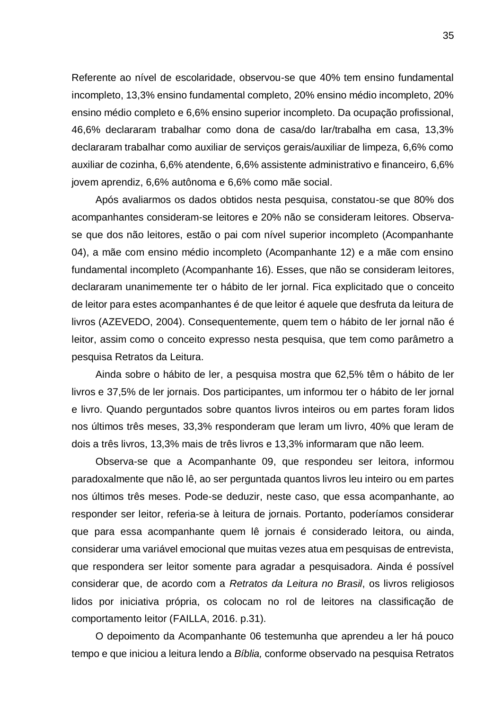Referente ao nível de escolaridade, observou-se que 40% tem ensino fundamental incompleto, 13,3% ensino fundamental completo, 20% ensino médio incompleto, 20% ensino médio completo e 6,6% ensino superior incompleto. Da ocupação profissional, 46,6% declararam trabalhar como dona de casa/do lar/trabalha em casa, 13,3% declararam trabalhar como auxiliar de serviços gerais/auxiliar de limpeza, 6,6% como auxiliar de cozinha, 6,6% atendente, 6,6% assistente administrativo e financeiro, 6,6% jovem aprendiz, 6,6% autônoma e 6,6% como mãe social.

Após avaliarmos os dados obtidos nesta pesquisa, constatou-se que 80% dos acompanhantes consideram-se leitores e 20% não se consideram leitores. Observase que dos não leitores, estão o pai com nível superior incompleto (Acompanhante 04), a mãe com ensino médio incompleto (Acompanhante 12) e a mãe com ensino fundamental incompleto (Acompanhante 16). Esses, que não se consideram leitores, declararam unanimemente ter o hábito de ler jornal. Fica explicitado que o conceito de leitor para estes acompanhantes é de que leitor é aquele que desfruta da leitura de livros (AZEVEDO, 2004). Consequentemente, quem tem o hábito de ler jornal não é leitor, assim como o conceito expresso nesta pesquisa, que tem como parâmetro a pesquisa Retratos da Leitura.

Ainda sobre o hábito de ler, a pesquisa mostra que 62,5% têm o hábito de ler livros e 37,5% de ler jornais. Dos participantes, um informou ter o hábito de ler jornal e livro. Quando perguntados sobre quantos livros inteiros ou em partes foram lidos nos últimos três meses, 33,3% responderam que leram um livro, 40% que leram de dois a três livros, 13,3% mais de três livros e 13,3% informaram que não leem.

Observa-se que a Acompanhante 09, que respondeu ser leitora, informou paradoxalmente que não lê, ao ser perguntada quantos livros leu inteiro ou em partes nos últimos três meses. Pode-se deduzir, neste caso, que essa acompanhante, ao responder ser leitor, referia-se à leitura de jornais. Portanto, poderíamos considerar que para essa acompanhante quem lê jornais é considerado leitora, ou ainda, considerar uma variável emocional que muitas vezes atua em pesquisas de entrevista, que respondera ser leitor somente para agradar a pesquisadora. Ainda é possível considerar que, de acordo com a *Retratos da Leitura no Brasil*, os livros religiosos lidos por iniciativa própria, os colocam no rol de leitores na classificação de comportamento leitor (FAILLA, 2016. p.31).

O depoimento da Acompanhante 06 testemunha que aprendeu a ler há pouco tempo e que iniciou a leitura lendo a *Bíblia,* conforme observado na pesquisa Retratos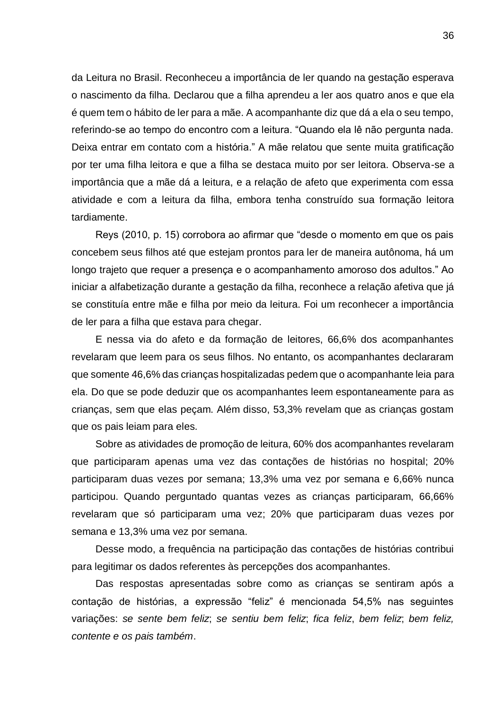da Leitura no Brasil. Reconheceu a importância de ler quando na gestação esperava o nascimento da filha. Declarou que a filha aprendeu a ler aos quatro anos e que ela é quem tem o hábito de ler para a mãe. A acompanhante diz que dá a ela o seu tempo, referindo-se ao tempo do encontro com a leitura. "Quando ela lê não pergunta nada. Deixa entrar em contato com a história." A mãe relatou que sente muita gratificação por ter uma filha leitora e que a filha se destaca muito por ser leitora. Observa-se a importância que a mãe dá a leitura, e a relação de afeto que experimenta com essa atividade e com a leitura da filha, embora tenha construído sua formação leitora tardiamente.

Reys (2010, p. 15) corrobora ao afirmar que "desde o momento em que os pais concebem seus filhos até que estejam prontos para ler de maneira autônoma, há um longo trajeto que requer a presença e o acompanhamento amoroso dos adultos." Ao iniciar a alfabetização durante a gestação da filha, reconhece a relação afetiva que já se constituía entre mãe e filha por meio da leitura. Foi um reconhecer a importância de ler para a filha que estava para chegar.

E nessa via do afeto e da formação de leitores, 66,6% dos acompanhantes revelaram que leem para os seus filhos. No entanto, os acompanhantes declararam que somente 46,6% das crianças hospitalizadas pedem que o acompanhante leia para ela. Do que se pode deduzir que os acompanhantes leem espontaneamente para as crianças, sem que elas peçam. Além disso, 53,3% revelam que as crianças gostam que os pais leiam para eles.

Sobre as atividades de promoção de leitura, 60% dos acompanhantes revelaram que participaram apenas uma vez das contações de histórias no hospital; 20% participaram duas vezes por semana; 13,3% uma vez por semana e 6,66% nunca participou. Quando perguntado quantas vezes as crianças participaram, 66,66% revelaram que só participaram uma vez; 20% que participaram duas vezes por semana e 13,3% uma vez por semana.

Desse modo, a frequência na participação das contações de histórias contribui para legitimar os dados referentes às percepções dos acompanhantes.

Das respostas apresentadas sobre como as crianças se sentiram após a contação de histórias, a expressão "feliz" é mencionada 54,5% nas seguintes variações: *se sente bem feliz*; *se sentiu bem feliz*; *fica feliz*, *bem feliz*; *bem feliz, contente e os pais também*.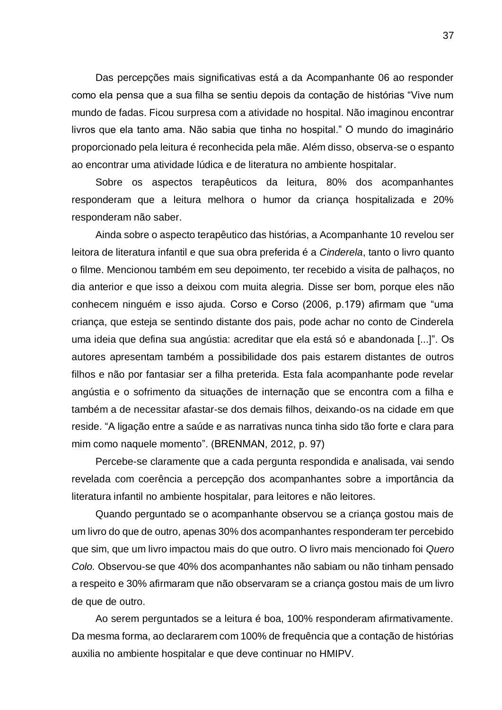Das percepções mais significativas está a da Acompanhante 06 ao responder como ela pensa que a sua filha se sentiu depois da contação de histórias "Vive num mundo de fadas. Ficou surpresa com a atividade no hospital. Não imaginou encontrar livros que ela tanto ama. Não sabia que tinha no hospital." O mundo do imaginário proporcionado pela leitura é reconhecida pela mãe. Além disso, observa-se o espanto ao encontrar uma atividade lúdica e de literatura no ambiente hospitalar.

Sobre os aspectos terapêuticos da leitura, 80% dos acompanhantes responderam que a leitura melhora o humor da criança hospitalizada e 20% responderam não saber.

Ainda sobre o aspecto terapêutico das histórias, a Acompanhante 10 revelou ser leitora de literatura infantil e que sua obra preferida é a *Cinderela*, tanto o livro quanto o filme. Mencionou também em seu depoimento, ter recebido a visita de palhaços, no dia anterior e que isso a deixou com muita alegria. Disse ser bom, porque eles não conhecem ninguém e isso ajuda. Corso e Corso (2006, p.179) afirmam que "uma criança, que esteja se sentindo distante dos pais, pode achar no conto de Cinderela uma ideia que defina sua angústia: acreditar que ela está só e abandonada [...]". Os autores apresentam também a possibilidade dos pais estarem distantes de outros filhos e não por fantasiar ser a filha preterida. Esta fala acompanhante pode revelar angústia e o sofrimento da situações de internação que se encontra com a filha e também a de necessitar afastar-se dos demais filhos, deixando-os na cidade em que reside. "A ligação entre a saúde e as narrativas nunca tinha sido tão forte e clara para mim como naquele momento". (BRENMAN, 2012, p. 97)

Percebe-se claramente que a cada pergunta respondida e analisada, vai sendo revelada com coerência a percepção dos acompanhantes sobre a importância da literatura infantil no ambiente hospitalar, para leitores e não leitores.

Quando perguntado se o acompanhante observou se a criança gostou mais de um livro do que de outro, apenas 30% dos acompanhantes responderam ter percebido que sim, que um livro impactou mais do que outro. O livro mais mencionado foi *Quero Colo.* Observou-se que 40% dos acompanhantes não sabiam ou não tinham pensado a respeito e 30% afirmaram que não observaram se a criança gostou mais de um livro de que de outro.

Ao serem perguntados se a leitura é boa, 100% responderam afirmativamente. Da mesma forma, ao declararem com 100% de frequência que a contação de histórias auxilia no ambiente hospitalar e que deve continuar no HMIPV.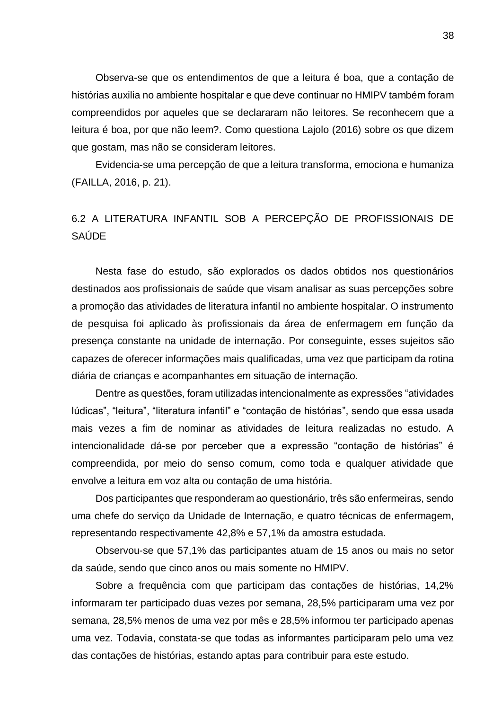Observa-se que os entendimentos de que a leitura é boa, que a contação de histórias auxilia no ambiente hospitalar e que deve continuar no HMIPV também foram compreendidos por aqueles que se declararam não leitores. Se reconhecem que a leitura é boa, por que não leem?. Como questiona Lajolo (2016) sobre os que dizem que gostam, mas não se consideram leitores.

Evidencia-se uma percepção de que a leitura transforma, emociona e humaniza (FAILLA, 2016, p. 21).

# <span id="page-38-0"></span>6.2 A LITERATURA INFANTIL SOB A PERCEPÇÃO DE PROFISSIONAIS DE SAÚDE

Nesta fase do estudo, são explorados os dados obtidos nos questionários destinados aos profissionais de saúde que visam analisar as suas percepções sobre a promoção das atividades de literatura infantil no ambiente hospitalar. O instrumento de pesquisa foi aplicado às profissionais da área de enfermagem em função da presença constante na unidade de internação. Por conseguinte, esses sujeitos são capazes de oferecer informações mais qualificadas, uma vez que participam da rotina diária de crianças e acompanhantes em situação de internação.

Dentre as questões, foram utilizadas intencionalmente as expressões "atividades lúdicas", "leitura", "literatura infantil" e "contação de histórias", sendo que essa usada mais vezes a fim de nominar as atividades de leitura realizadas no estudo. A intencionalidade dá-se por perceber que a expressão "contação de histórias" é compreendida, por meio do senso comum, como toda e qualquer atividade que envolve a leitura em voz alta ou contação de uma história.

Dos participantes que responderam ao questionário, três são enfermeiras, sendo uma chefe do serviço da Unidade de Internação, e quatro técnicas de enfermagem, representando respectivamente 42,8% e 57,1% da amostra estudada.

Observou-se que 57,1% das participantes atuam de 15 anos ou mais no setor da saúde, sendo que cinco anos ou mais somente no HMIPV.

Sobre a frequência com que participam das contações de histórias, 14,2% informaram ter participado duas vezes por semana, 28,5% participaram uma vez por semana, 28,5% menos de uma vez por mês e 28,5% informou ter participado apenas uma vez. Todavia, constata-se que todas as informantes participaram pelo uma vez das contações de histórias, estando aptas para contribuir para este estudo.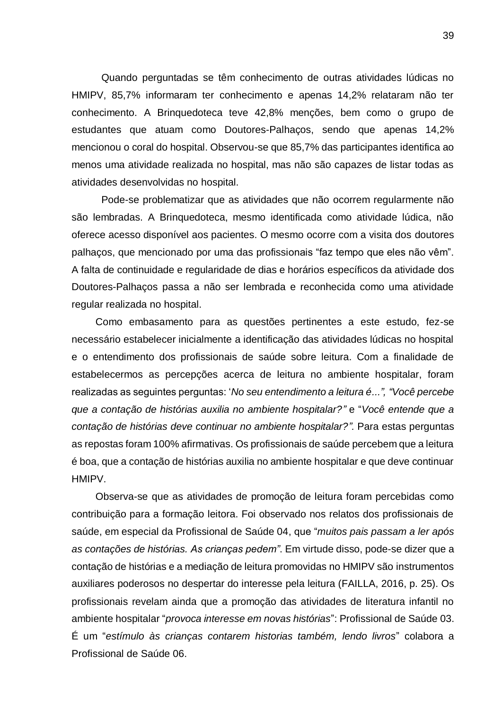Quando perguntadas se têm conhecimento de outras atividades lúdicas no HMIPV, 85,7% informaram ter conhecimento e apenas 14,2% relataram não ter conhecimento. A Brinquedoteca teve 42,8% menções, bem como o grupo de estudantes que atuam como Doutores-Palhaços, sendo que apenas 14,2% mencionou o coral do hospital. Observou-se que 85,7% das participantes identifica ao menos uma atividade realizada no hospital, mas não são capazes de listar todas as atividades desenvolvidas no hospital.

Pode-se problematizar que as atividades que não ocorrem regularmente não são lembradas. A Brinquedoteca, mesmo identificada como atividade lúdica, não oferece acesso disponível aos pacientes. O mesmo ocorre com a visita dos doutores palhaços, que mencionado por uma das profissionais "faz tempo que eles não vêm". A falta de continuidade e regularidade de dias e horários específicos da atividade dos Doutores-Palhaços passa a não ser lembrada e reconhecida como uma atividade regular realizada no hospital.

Como embasamento para as questões pertinentes a este estudo, fez-se necessário estabelecer inicialmente a identificação das atividades lúdicas no hospital e o entendimento dos profissionais de saúde sobre leitura. Com a finalidade de estabelecermos as percepções acerca de leitura no ambiente hospitalar, foram realizadas as seguintes perguntas: '*No seu entendimento a leitura é...", "Você percebe que a contação de histórias auxilia no ambiente hospitalar?"* e "*Você entende que a contação de histórias deve continuar no ambiente hospitalar?".* Para estas perguntas as repostas foram 100% afirmativas. Os profissionais de saúde percebem que a leitura é boa, que a contação de histórias auxilia no ambiente hospitalar e que deve continuar HMIPV.

Observa-se que as atividades de promoção de leitura foram percebidas como contribuição para a formação leitora. Foi observado nos relatos dos profissionais de saúde, em especial da Profissional de Saúde 04, que "*muitos pais passam a ler após as contações de histórias. As crianças pedem"*. Em virtude disso, pode-se dizer que a contação de histórias e a mediação de leitura promovidas no HMIPV são instrumentos auxiliares poderosos no despertar do interesse pela leitura (FAILLA, 2016, p. 25). Os profissionais revelam ainda que a promoção das atividades de literatura infantil no ambiente hospitalar "*provoca interesse em novas histórias*": Profissional de Saúde 03. É um "*estímulo às crianças contarem historias também, lendo livros*" colabora a Profissional de Saúde 06.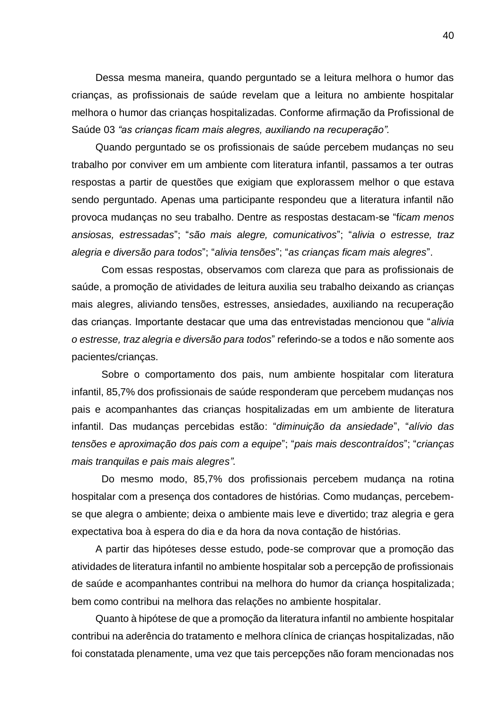Dessa mesma maneira, quando perguntado se a leitura melhora o humor das crianças, as profissionais de saúde revelam que a leitura no ambiente hospitalar melhora o humor das crianças hospitalizadas. Conforme afirmação da Profissional de Saúde 03 *"as crianças ficam mais alegres, auxiliando na recuperação".*

Quando perguntado se os profissionais de saúde percebem mudanças no seu trabalho por conviver em um ambiente com literatura infantil, passamos a ter outras respostas a partir de questões que exigiam que explorassem melhor o que estava sendo perguntado. Apenas uma participante respondeu que a literatura infantil não provoca mudanças no seu trabalho. Dentre as respostas destacam-se "f*icam menos ansiosas, estressadas*"; "*são mais alegre, comunicativos*"; "*alivia o estresse, traz alegria e diversão para todos*"; "*alivia tensões*"; "*as crianças ficam mais alegres*".

Com essas respostas, observamos com clareza que para as profissionais de saúde, a promoção de atividades de leitura auxilia seu trabalho deixando as crianças mais alegres, aliviando tensões, estresses, ansiedades, auxiliando na recuperação das crianças. Importante destacar que uma das entrevistadas mencionou que "*alivia o estresse, traz alegria e diversão para todos*" referindo-se a todos e não somente aos pacientes/crianças.

Sobre o comportamento dos pais, num ambiente hospitalar com literatura infantil, 85,7% dos profissionais de saúde responderam que percebem mudanças nos pais e acompanhantes das crianças hospitalizadas em um ambiente de literatura infantil. Das mudanças percebidas estão: "*diminuição da ansiedade*", "*alívio das tensões e aproximação dos pais com a equipe*"; "*pais mais descontraídos*"; "*crianças mais tranquilas e pais mais alegres"*.

Do mesmo modo, 85,7% dos profissionais percebem mudança na rotina hospitalar com a presença dos contadores de histórias. Como mudanças, percebemse que alegra o ambiente; deixa o ambiente mais leve e divertido; traz alegria e gera expectativa boa à espera do dia e da hora da nova contação de histórias.

A partir das hipóteses desse estudo, pode-se comprovar que a promoção das atividades de literatura infantil no ambiente hospitalar sob a percepção de profissionais de saúde e acompanhantes contribui na melhora do humor da criança hospitalizada; bem como contribui na melhora das relações no ambiente hospitalar.

Quanto à hipótese de que a promoção da literatura infantil no ambiente hospitalar contribui na aderência do tratamento e melhora clínica de crianças hospitalizadas, não foi constatada plenamente, uma vez que tais percepções não foram mencionadas nos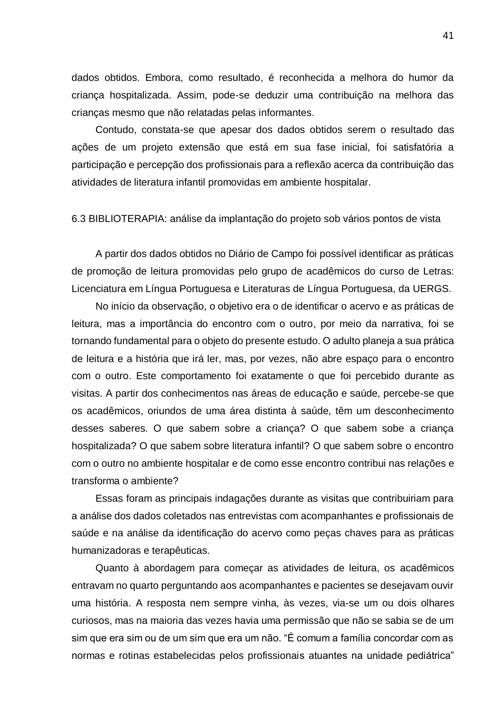dados obtidos. Embora, como resultado, é reconhecida a melhora do humor da criança hospitalizada. Assim, pode-se deduzir uma contribuição na melhora das crianças mesmo que não relatadas pelas informantes.

Contudo, constata-se que apesar dos dados obtidos serem o resultado das ações de um projeto extensão que está em sua fase inicial, foi satisfatória a participação e percepção dos profissionais para a reflexão acerca da contribuição das atividades de literatura infantil promovidas em ambiente hospitalar.

<span id="page-41-0"></span>6.3 BIBLIOTERAPIA: análise da implantação do projeto sob vários pontos de vista

A partir dos dados obtidos no Diário de Campo foi possível identificar as práticas de promoção de leitura promovidas pelo grupo de acadêmicos do curso de Letras: Licenciatura em Língua Portuguesa e Literaturas de Língua Portuguesa, da UERGS.

No início da observação, o objetivo era o de identificar o acervo e as práticas de leitura, mas a importância do encontro com o outro, por meio da narrativa, foi se tornando fundamental para o objeto do presente estudo. O adulto planeja a sua prática de leitura e a história que irá ler, mas, por vezes, não abre espaço para o encontro com o outro. Este comportamento foi exatamente o que foi percebido durante as visitas. A partir dos conhecimentos nas áreas de educação e saúde, percebe-se que os acadêmicos, oriundos de uma área distinta à saúde, têm um desconhecimento desses saberes. O que sabem sobre a criança? O que sabem sobe a criança hospitalizada? O que sabem sobre literatura infantil? O que sabem sobre o encontro com o outro no ambiente hospitalar e de como esse encontro contribui nas relações e transforma o ambiente?

Essas foram as principais indagações durante as visitas que contribuiriam para a análise dos dados coletados nas entrevistas com acompanhantes e profissionais de saúde e na análise da identificação do acervo como peças chaves para as práticas humanizadoras e terapêuticas.

Quanto à abordagem para começar as atividades de leitura, os acadêmicos entravam no quarto perguntando aos acompanhantes e pacientes se desejavam ouvir uma história. A resposta nem sempre vinha, às vezes, via-se um ou dois olhares curiosos, mas na maioria das vezes havia uma permissão que não se sabia se de um sim que era sim ou de um sim que era um não. "É comum a família concordar com as normas e rotinas estabelecidas pelos profissionais atuantes na unidade pediátrica"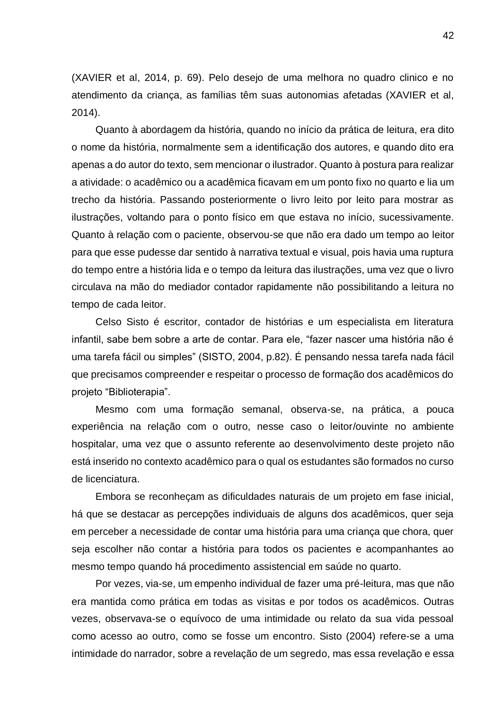(XAVIER et al, 2014, p. 69). Pelo desejo de uma melhora no quadro clinico e no atendimento da criança, as famílias têm suas autonomias afetadas (XAVIER et al, 2014).

Quanto à abordagem da história, quando no início da prática de leitura, era dito o nome da história, normalmente sem a identificação dos autores, e quando dito era apenas a do autor do texto, sem mencionar o ilustrador. Quanto à postura para realizar a atividade: o acadêmico ou a acadêmica ficavam em um ponto fixo no quarto e lia um trecho da história. Passando posteriormente o livro leito por leito para mostrar as ilustrações, voltando para o ponto físico em que estava no início, sucessivamente. Quanto à relação com o paciente, observou-se que não era dado um tempo ao leitor para que esse pudesse dar sentido à narrativa textual e visual, pois havia uma ruptura do tempo entre a história lida e o tempo da leitura das ilustrações, uma vez que o livro circulava na mão do mediador contador rapidamente não possibilitando a leitura no tempo de cada leitor.

Celso Sisto é escritor, contador de histórias e um especialista em literatura infantil, sabe bem sobre a arte de contar. Para ele, "fazer nascer uma história não é uma tarefa fácil ou simples" (SISTO, 2004, p.82). É pensando nessa tarefa nada fácil que precisamos compreender e respeitar o processo de formação dos acadêmicos do projeto "Biblioterapia".

Mesmo com uma formação semanal, observa-se, na prática, a pouca experiência na relação com o outro, nesse caso o leitor/ouvinte no ambiente hospitalar, uma vez que o assunto referente ao desenvolvimento deste projeto não está inserido no contexto acadêmico para o qual os estudantes são formados no curso de licenciatura.

Embora se reconheçam as dificuldades naturais de um projeto em fase inicial, há que se destacar as percepções individuais de alguns dos acadêmicos, quer seja em perceber a necessidade de contar uma história para uma criança que chora, quer seja escolher não contar a história para todos os pacientes e acompanhantes ao mesmo tempo quando há procedimento assistencial em saúde no quarto.

Por vezes, via-se, um empenho individual de fazer uma pré-leitura, mas que não era mantida como prática em todas as visitas e por todos os acadêmicos. Outras vezes, observava-se o equívoco de uma intimidade ou relato da sua vida pessoal como acesso ao outro, como se fosse um encontro. Sisto (2004) refere-se a uma intimidade do narrador, sobre a revelação de um segredo, mas essa revelação e essa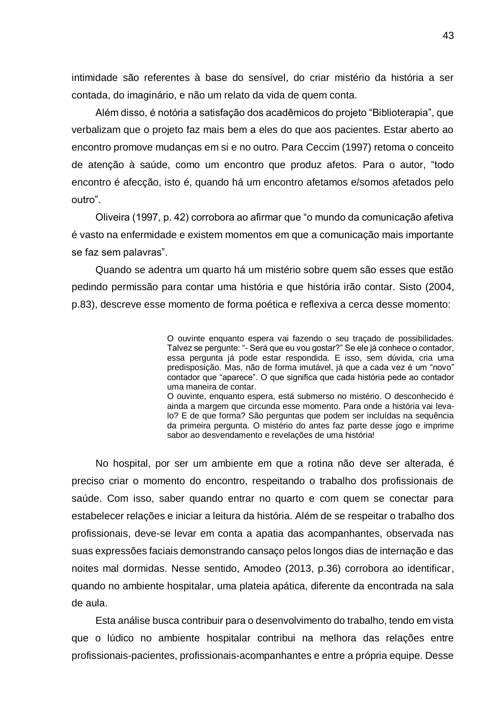intimidade são referentes à base do sensível, do criar mistério da história a ser contada, do imaginário, e não um relato da vida de quem conta.

Além disso, é notória a satisfação dos acadêmicos do projeto "Biblioterapia", que verbalizam que o projeto faz mais bem a eles do que aos pacientes. Estar aberto ao encontro promove mudanças em si e no outro. Para Ceccim (1997) retoma o conceito de atenção à saúde, como um encontro que produz afetos. Para o autor, "todo encontro é afecção, isto é, quando há um encontro afetamos e/somos afetados pelo outro".

Oliveira (1997, p. 42) corrobora ao afirmar que "o mundo da comunicação afetiva é vasto na enfermidade e existem momentos em que a comunicação mais importante se faz sem palavras".

Quando se adentra um quarto há um mistério sobre quem são esses que estão pedindo permissão para contar uma história e que história irão contar. Sisto (2004, p.83), descreve esse momento de forma poética e reflexiva a cerca desse momento:

> O ouvinte enquanto espera vai fazendo o seu traçado de possibilidades. Talvez se pergunte: "- Será que eu vou gostar?" Se ele já conhece o contador, essa pergunta já pode estar respondida. E isso, sem dúvida, cria uma predisposição. Mas, não de forma imutável, já que a cada vez é um "novo" contador que "aparece". O que significa que cada história pede ao contador uma maneira de contar. O ouvinte, enquanto espera, está submerso no mistério. O desconhecido é

> ainda a margem que circunda esse momento. Para onde a história vai levalo? E de que forma? São perguntas que podem ser incluídas na sequência da primeira pergunta. O mistério do antes faz parte desse jogo e imprime sabor ao desvendamento e revelações de uma história!

No hospital, por ser um ambiente em que a rotina não deve ser alterada, é preciso criar o momento do encontro, respeitando o trabalho dos profissionais de saúde. Com isso, saber quando entrar no quarto e com quem se conectar para estabelecer relações e iniciar a leitura da história. Além de se respeitar o trabalho dos profissionais, deve-se levar em conta a apatia das acompanhantes, observada nas suas expressões faciais demonstrando cansaço pelos longos dias de internação e das noites mal dormidas. Nesse sentido, Amodeo (2013, p.36) corrobora ao identificar, quando no ambiente hospitalar, uma plateia apática, diferente da encontrada na sala de aula.

Esta análise busca contribuir para o desenvolvimento do trabalho, tendo em vista que o lúdico no ambiente hospitalar contribui na melhora das relações entre profissionais-pacientes, profissionais-acompanhantes e entre a própria equipe. Desse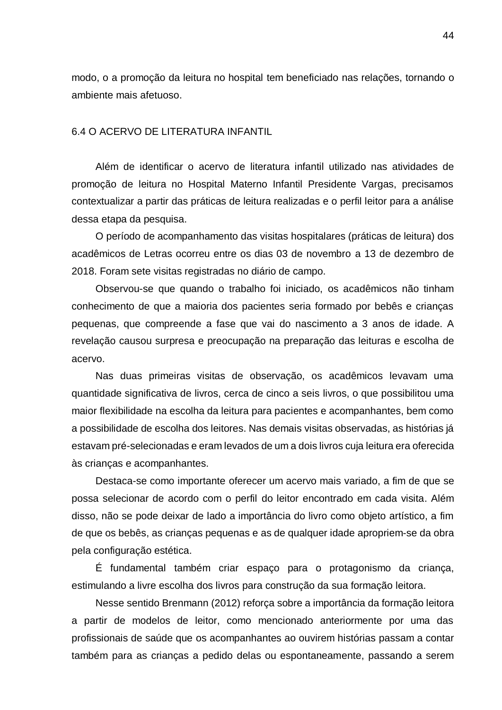modo, o a promoção da leitura no hospital tem beneficiado nas relações, tornando o ambiente mais afetuoso.

#### <span id="page-44-0"></span>6.4 O ACERVO DE LITERATURA INFANTIL

Além de identificar o acervo de literatura infantil utilizado nas atividades de promoção de leitura no Hospital Materno Infantil Presidente Vargas, precisamos contextualizar a partir das práticas de leitura realizadas e o perfil leitor para a análise dessa etapa da pesquisa.

O período de acompanhamento das visitas hospitalares (práticas de leitura) dos acadêmicos de Letras ocorreu entre os dias 03 de novembro a 13 de dezembro de 2018. Foram sete visitas registradas no diário de campo.

Observou-se que quando o trabalho foi iniciado, os acadêmicos não tinham conhecimento de que a maioria dos pacientes seria formado por bebês e crianças pequenas, que compreende a fase que vai do nascimento a 3 anos de idade. A revelação causou surpresa e preocupação na preparação das leituras e escolha de acervo.

Nas duas primeiras visitas de observação, os acadêmicos levavam uma quantidade significativa de livros, cerca de cinco a seis livros, o que possibilitou uma maior flexibilidade na escolha da leitura para pacientes e acompanhantes, bem como a possibilidade de escolha dos leitores. Nas demais visitas observadas, as histórias já estavam pré-selecionadas e eram levados de um a dois livros cuja leitura era oferecida às crianças e acompanhantes.

Destaca-se como importante oferecer um acervo mais variado, a fim de que se possa selecionar de acordo com o perfil do leitor encontrado em cada visita. Além disso, não se pode deixar de lado a importância do livro como objeto artístico, a fim de que os bebês, as crianças pequenas e as de qualquer idade apropriem-se da obra pela configuração estética.

É fundamental também criar espaço para o protagonismo da criança, estimulando a livre escolha dos livros para construção da sua formação leitora.

Nesse sentido Brenmann (2012) reforça sobre a importância da formação leitora a partir de modelos de leitor, como mencionado anteriormente por uma das profissionais de saúde que os acompanhantes ao ouvirem histórias passam a contar também para as crianças a pedido delas ou espontaneamente, passando a serem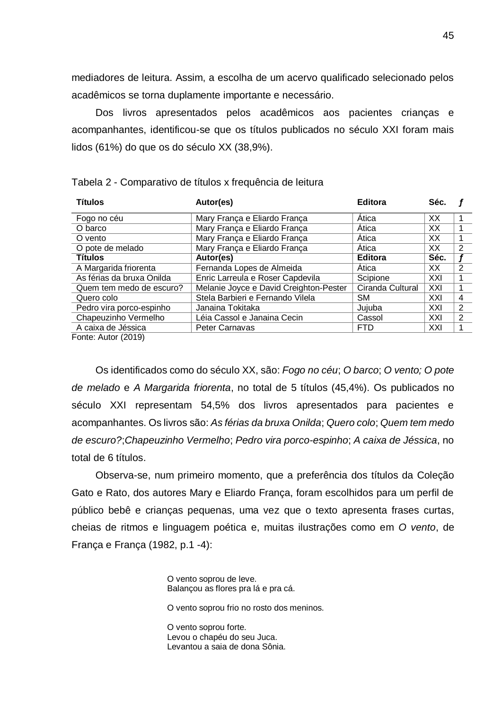mediadores de leitura. Assim, a escolha de um acervo qualificado selecionado pelos acadêmicos se torna duplamente importante e necessário.

Dos livros apresentados pelos acadêmicos aos pacientes crianças e acompanhantes, identificou-se que os títulos publicados no século XXI foram mais lidos (61%) do que os do século XX (38,9%).

| <b>Títulos</b>            | Autor(es)                              | <b>Editora</b>   | Séc. |                |
|---------------------------|----------------------------------------|------------------|------|----------------|
| Fogo no céu               | Mary França e Eliardo França           | Ática            | XX   |                |
| O barco                   | Mary França e Eliardo França           | Ática            | XX   |                |
| O vento                   | Mary França e Eliardo França           | Ática            | XX   |                |
| O pote de melado          | Mary França e Eliardo França           | Ática            | XX   | 2              |
| <b>Títulos</b>            | Autor(es)                              | <b>Editora</b>   | Séc. |                |
| A Margarida friorenta     | Fernanda Lopes de Almeida              | Atica            | XХ   | 2              |
| As férias da bruxa Onilda | Enric Larreula e Roser Capdevila       | Scipione         | XXI  |                |
| Quem tem medo de escuro?  | Melanie Joyce e David Creighton-Pester | Ciranda Cultural | XXI  |                |
| Quero colo                | Stela Barbieri e Fernando Vilela       | <b>SM</b>        | XXI  | 4              |
| Pedro vira porco-espinho  | Janaina Tokitaka                       | Jujuba           | XXI  | 2              |
| Chapeuzinho Vermelho      | Léia Cassol e Janaina Cecin            | Cassol           | XXI  | $\overline{2}$ |
| A caixa de Jéssica        | <b>Peter Carnavas</b>                  | <b>FTD</b>       | XXI  |                |

Tabela 2 - Comparativo de títulos x frequência de leitura

Fonte: Autor (2019)

Os identificados como do século XX, são: *Fogo no céu*; *O barco*; *O vento; O pote de melado* e *A Margarida friorenta*, no total de 5 títulos (45,4%). Os publicados no século XXI representam 54,5% dos livros apresentados para pacientes e acompanhantes. Os livros são: *As férias da bruxa Onilda*; *Quero colo*; *Quem tem medo de escuro?*;*Chapeuzinho Vermelho*; *Pedro vira porco-espinho*; *A caixa de Jéssica*, no total de 6 títulos.

Observa-se, num primeiro momento, que a preferência dos títulos da Coleção Gato e Rato, dos autores Mary e Eliardo França, foram escolhidos para um perfil de público bebê e crianças pequenas, uma vez que o texto apresenta frases curtas, cheias de ritmos e linguagem poética e, muitas ilustrações como em *O vento*, de França e França (1982, p.1 -4):

> O vento soprou de leve. Balançou as flores pra lá e pra cá.

O vento soprou frio no rosto dos meninos.

O vento soprou forte. Levou o chapéu do seu Juca. Levantou a saia de dona Sônia.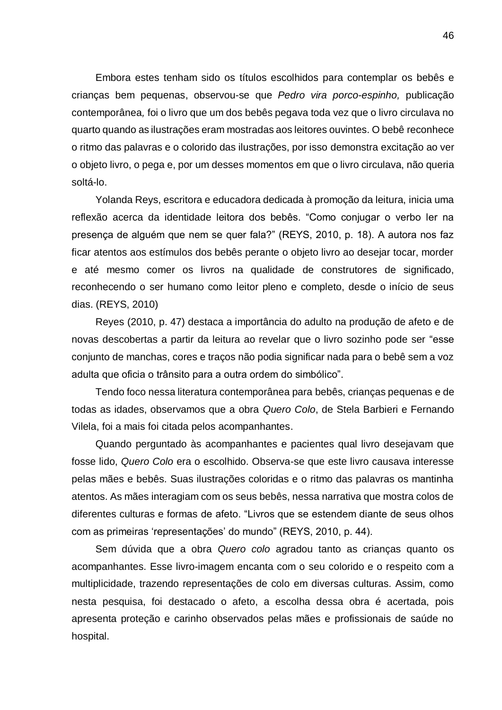Embora estes tenham sido os títulos escolhidos para contemplar os bebês e crianças bem pequenas, observou-se que *Pedro vira porco-espinho,* publicação contemporânea*,* foi o livro que um dos bebês pegava toda vez que o livro circulava no quarto quando as ilustrações eram mostradas aos leitores ouvintes. O bebê reconhece o ritmo das palavras e o colorido das ilustrações, por isso demonstra excitação ao ver o objeto livro, o pega e, por um desses momentos em que o livro circulava, não queria soltá-lo.

Yolanda Reys, escritora e educadora dedicada à promoção da leitura, inicia uma reflexão acerca da identidade leitora dos bebês. "Como conjugar o verbo ler na presença de alguém que nem se quer fala?" (REYS, 2010, p. 18). A autora nos faz ficar atentos aos estímulos dos bebês perante o objeto livro ao desejar tocar, morder e até mesmo comer os livros na qualidade de construtores de significado, reconhecendo o ser humano como leitor pleno e completo, desde o início de seus dias. (REYS, 2010)

Reyes (2010, p. 47) destaca a importância do adulto na produção de afeto e de novas descobertas a partir da leitura ao revelar que o livro sozinho pode ser "esse conjunto de manchas, cores e traços não podia significar nada para o bebê sem a voz adulta que oficia o trânsito para a outra ordem do simbólico".

Tendo foco nessa literatura contemporânea para bebês, crianças pequenas e de todas as idades, observamos que a obra *Quero Colo*, de Stela Barbieri e Fernando Vilela, foi a mais foi citada pelos acompanhantes.

Quando perguntado às acompanhantes e pacientes qual livro desejavam que fosse lido, *Quero Colo* era o escolhido. Observa-se que este livro causava interesse pelas mães e bebês. Suas ilustrações coloridas e o ritmo das palavras os mantinha atentos. As mães interagiam com os seus bebês, nessa narrativa que mostra colos de diferentes culturas e formas de afeto. "Livros que se estendem diante de seus olhos com as primeiras 'representações' do mundo" (REYS, 2010, p. 44).

Sem dúvida que a obra *Quero colo* agradou tanto as crianças quanto os acompanhantes. Esse livro-imagem encanta com o seu colorido e o respeito com a multiplicidade, trazendo representações de colo em diversas culturas. Assim, como nesta pesquisa, foi destacado o afeto, a escolha dessa obra é acertada, pois apresenta proteção e carinho observados pelas mães e profissionais de saúde no hospital.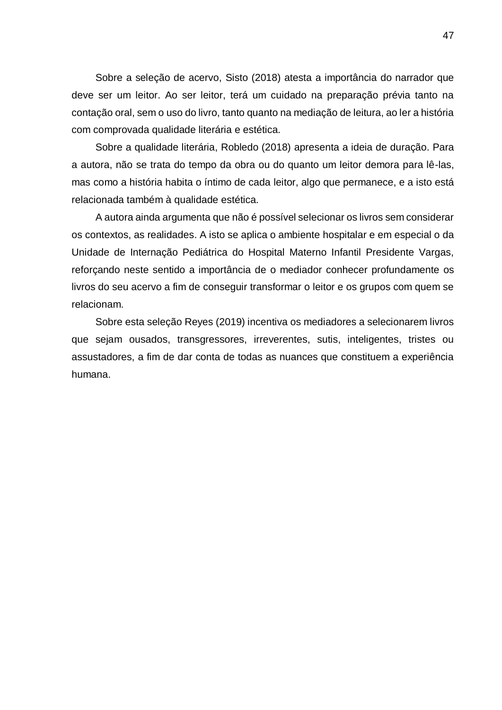Sobre a seleção de acervo, Sisto (2018) atesta a importância do narrador que deve ser um leitor. Ao ser leitor, terá um cuidado na preparação prévia tanto na contação oral, sem o uso do livro, tanto quanto na mediação de leitura, ao ler a história com comprovada qualidade literária e estética.

Sobre a qualidade literária, Robledo (2018) apresenta a ideia de duração. Para a autora, não se trata do tempo da obra ou do quanto um leitor demora para lê-las, mas como a história habita o íntimo de cada leitor, algo que permanece, e a isto está relacionada também à qualidade estética.

A autora ainda argumenta que não é possível selecionar os livros sem considerar os contextos, as realidades. A isto se aplica o ambiente hospitalar e em especial o da Unidade de Internação Pediátrica do Hospital Materno Infantil Presidente Vargas, reforçando neste sentido a importância de o mediador conhecer profundamente os livros do seu acervo a fim de conseguir transformar o leitor e os grupos com quem se relacionam.

Sobre esta seleção Reyes (2019) incentiva os mediadores a selecionarem livros que sejam ousados, transgressores, irreverentes, sutis, inteligentes, tristes ou assustadores, a fim de dar conta de todas as nuances que constituem a experiência humana.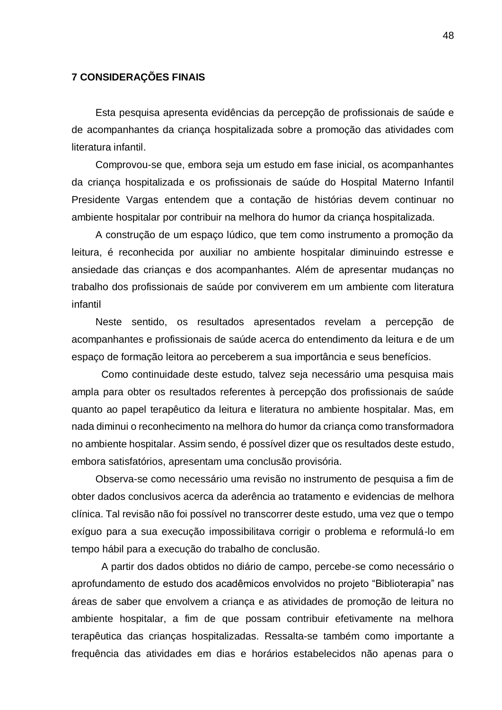#### <span id="page-48-0"></span>**7 CONSIDERAÇÕES FINAIS**

Esta pesquisa apresenta evidências da percepção de profissionais de saúde e de acompanhantes da criança hospitalizada sobre a promoção das atividades com literatura infantil.

Comprovou-se que, embora seja um estudo em fase inicial, os acompanhantes da criança hospitalizada e os profissionais de saúde do Hospital Materno Infantil Presidente Vargas entendem que a contação de histórias devem continuar no ambiente hospitalar por contribuir na melhora do humor da criança hospitalizada.

A construção de um espaço lúdico, que tem como instrumento a promoção da leitura, é reconhecida por auxiliar no ambiente hospitalar diminuindo estresse e ansiedade das crianças e dos acompanhantes. Além de apresentar mudanças no trabalho dos profissionais de saúde por conviverem em um ambiente com literatura infantil

Neste sentido, os resultados apresentados revelam a percepção de acompanhantes e profissionais de saúde acerca do entendimento da leitura e de um espaço de formação leitora ao perceberem a sua importância e seus benefícios.

Como continuidade deste estudo, talvez seja necessário uma pesquisa mais ampla para obter os resultados referentes à percepção dos profissionais de saúde quanto ao papel terapêutico da leitura e literatura no ambiente hospitalar. Mas, em nada diminui o reconhecimento na melhora do humor da criança como transformadora no ambiente hospitalar. Assim sendo, é possível dizer que os resultados deste estudo, embora satisfatórios, apresentam uma conclusão provisória.

Observa-se como necessário uma revisão no instrumento de pesquisa a fim de obter dados conclusivos acerca da aderência ao tratamento e evidencias de melhora clínica. Tal revisão não foi possível no transcorrer deste estudo, uma vez que o tempo exíguo para a sua execução impossibilitava corrigir o problema e reformulá-lo em tempo hábil para a execução do trabalho de conclusão.

A partir dos dados obtidos no diário de campo, percebe-se como necessário o aprofundamento de estudo dos acadêmicos envolvidos no projeto "Biblioterapia" nas áreas de saber que envolvem a criança e as atividades de promoção de leitura no ambiente hospitalar, a fim de que possam contribuir efetivamente na melhora terapêutica das crianças hospitalizadas. Ressalta-se também como importante a frequência das atividades em dias e horários estabelecidos não apenas para o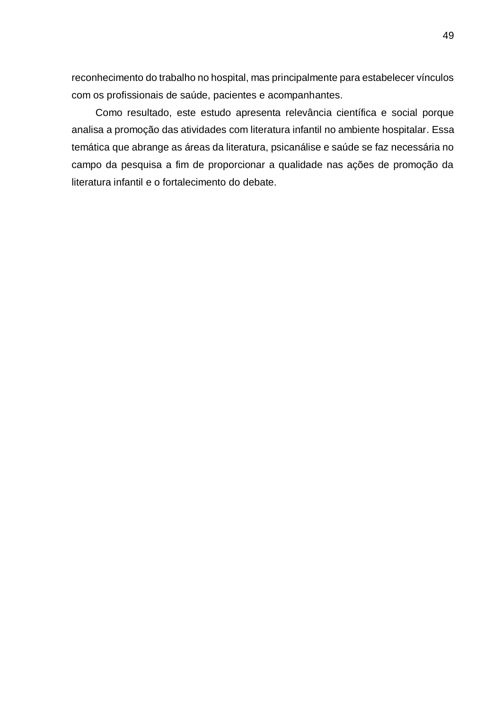reconhecimento do trabalho no hospital, mas principalmente para estabelecer vínculos com os profissionais de saúde, pacientes e acompanhantes.

<span id="page-49-0"></span>Como resultado, este estudo apresenta relevância científica e social porque analisa a promoção das atividades com literatura infantil no ambiente hospitalar. Essa temática que abrange as áreas da literatura, psicanálise e saúde se faz necessária no campo da pesquisa a fim de proporcionar a qualidade nas ações de promoção da literatura infantil e o fortalecimento do debate.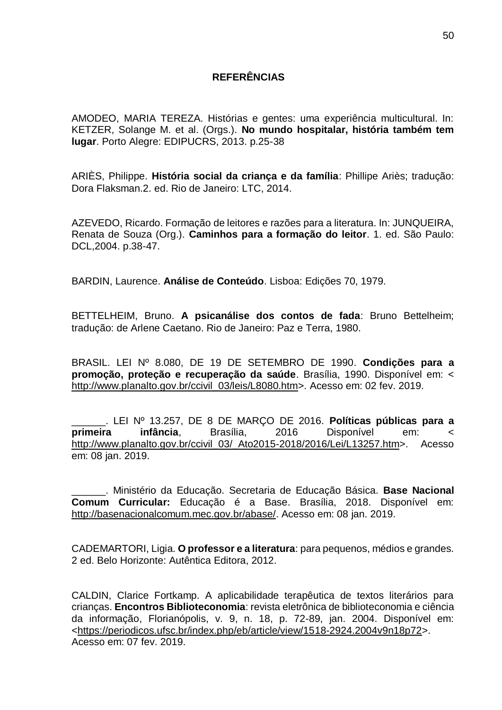## **REFERÊNCIAS**

AMODEO, MARIA TEREZA. Histórias e gentes: uma experiência multicultural. In: KETZER, Solange M. et al. (Orgs.). **No mundo hospitalar, história também tem lugar**. Porto Alegre: EDIPUCRS, 2013. p.25-38

ARIÈS, Philippe. **História social da criança e da família**: Phillipe Ariès; tradução: Dora Flaksman.2. ed. Rio de Janeiro: LTC, 2014.

AZEVEDO, Ricardo. Formação de leitores e razões para a literatura. In: JUNQUEIRA, Renata de Souza (Org.). **Caminhos para a formação do leitor**. 1. ed. São Paulo: DCL,2004. p.38-47.

BARDIN, Laurence. **Análise de Conteúdo**. Lisboa: Edições 70, 1979.

BETTELHEIM, Bruno. **A psicanálise dos contos de fada**: Bruno Bettelheim; tradução: de Arlene Caetano. Rio de Janeiro: Paz e Terra, 1980.

BRASIL. LEI Nº 8.080, DE 19 DE SETEMBRO DE 1990. **Condições para a promoção, proteção e recuperação da saúde**. Brasília, 1990. Disponível em: < [http://www.planalto.gov.br/ccivil\\_03/leis/L8080.htm>](http://www.planalto.gov.br/ccivil_03/leis/L8080.htm). Acesso em: 02 fev. 2019.

\_\_\_\_\_\_. LEI Nº 13.257, DE 8 DE MARÇO DE 2016. **Políticas públicas para a primeira infância**, Brasília, 2016 Disponível em: < [http://www.planalto.gov.br/ccivil\\_03/\\_Ato2015-2018/2016/Lei/L13257.htm>](http://www.planalto.gov.br/ccivil_03/_Ato2015-2018/2016/Lei/L13257.htm). Acesso em: 08 jan. 2019.

\_\_\_\_\_\_. Ministério da Educação. Secretaria de Educação Básica. **Base Nacional Comum Curricular:** Educação é a Base. Brasília, 2018. Disponível em: [http://basenacionalcomum.mec.gov.br/abase/.](http://basenacionalcomum.mec.gov.br/abase/) Acesso em: 08 jan. 2019.

CADEMARTORI, Ligia. **O professor e a literatura**: para pequenos, médios e grandes. 2 ed. Belo Horizonte: Autêntica Editora, 2012.

CALDIN, Clarice Fortkamp. A aplicabilidade terapêutica de textos literários para crianças. **Encontros Biblioteconomia**: revista eletrônica de biblioteconomia e ciência da informação, Florianópolis, v. 9, n. 18, p. 72-89, jan. 2004. Disponível em: [<https://periodicos.ufsc.br/index.php/eb/article/view/1518-2924.2004v9n18p72>](https://periodicos.ufsc.br/index.php/eb/article/view/1518-2924.2004v9n18p72). Acesso em: 07 fev. 2019.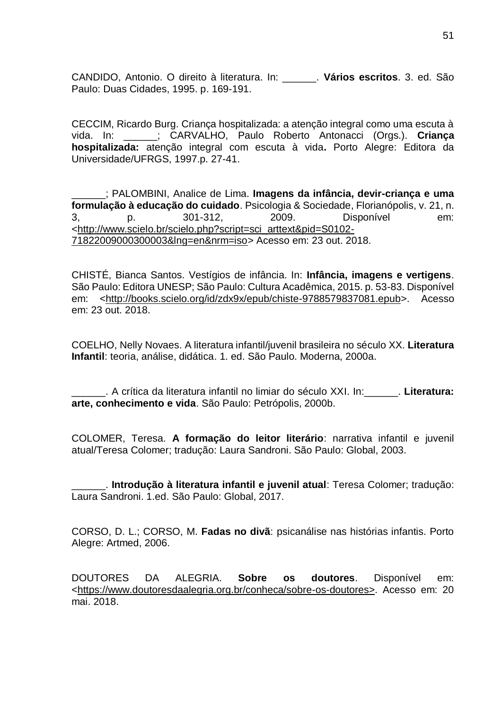CANDIDO, Antonio. O direito à literatura. In: \_\_\_\_\_\_. **Vários escritos**. 3. ed. São Paulo: Duas Cidades, 1995. p. 169-191.

CECCIM, Ricardo Burg. Criança hospitalizada: a atenção integral como uma escuta à vida. In: \_\_\_\_\_\_; CARVALHO, Paulo Roberto Antonacci (Orgs.). **Criança hospitalizada:** atenção integral com escuta à vida**.** Porto Alegre: Editora da Universidade/UFRGS, 1997.p. 27-41.

\_\_\_\_\_\_; PALOMBINI, Analice de Lima. **Imagens da infância, devir-criança e uma formulação à educação do cuidado**. Psicologia & Sociedade, Florianópolis, v. 21, n. 3, p. 301-312, 2009. Disponível em: [<http://www.scielo.br/scielo.php?script=sci\\_arttext&pid=S0102-](http://www.scielo.br/scielo.php?script=sci_arttext&pid=S0102-71822009000300003&lng=en&nrm=iso) [71822009000300003&lng=en&nrm=iso>](http://www.scielo.br/scielo.php?script=sci_arttext&pid=S0102-71822009000300003&lng=en&nrm=iso) Acesso em: 23 out. 2018.

CHISTÉ, Bianca Santos. Vestígios de infância. In: **Infância, imagens e vertigens**. São Paulo: Editora UNESP; São Paulo: Cultura Acadêmica, 2015. p. 53-83. Disponível em: [<http://books.scielo.org/id/zdx9x/epub/chiste-9788579837081.epub>](http://books.scielo.org/id/zdx9x/epub/chiste-9788579837081.epub). Acesso em: 23 out. 2018.

COELHO, Nelly Novaes. A literatura infantil/juvenil brasileira no século XX. **Literatura Infantil**: teoria, análise, didática. 1. ed. São Paulo. Moderna, 2000a.

\_\_\_\_\_\_. A crítica da literatura infantil no limiar do século XXI. In:\_\_\_\_\_\_. **Literatura: arte, conhecimento e vida**. São Paulo: Petrópolis, 2000b.

COLOMER, Teresa. **A formação do leitor literário**: narrativa infantil e juvenil atual/Teresa Colomer; tradução: Laura Sandroni. São Paulo: Global, 2003.

\_\_\_\_\_\_. **Introdução à literatura infantil e juvenil atual**: Teresa Colomer; tradução: Laura Sandroni. 1.ed. São Paulo: Global, 2017.

CORSO, D. L.; CORSO, M. **Fadas no divã**: psicanálise nas histórias infantis. Porto Alegre: Artmed, 2006.

DOUTORES DA ALEGRIA. **Sobre os doutores**. Disponível em: [<https://www.doutoresdaalegria.org.br/conheca/sobre-os-doutores>](https://www.doutoresdaalegria.org.br/conheca/sobre-os-doutores). Acesso em: 20 mai. 2018.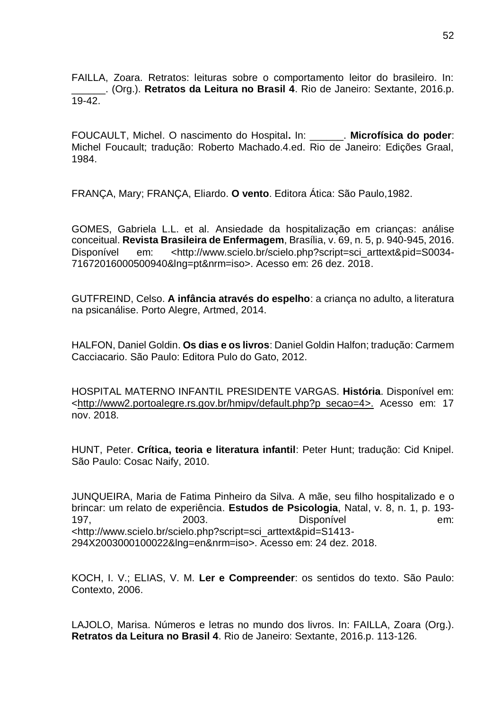FAILLA, Zoara. Retratos: leituras sobre o comportamento leitor do brasileiro. In: \_\_\_\_\_\_. (Org.). **Retratos da Leitura no Brasil 4**. Rio de Janeiro: Sextante, 2016.p. 19-42.

FOUCAULT, Michel. O nascimento do Hospital**.** In: \_\_\_\_\_\_. **Microfísica do poder**: Michel Foucault; tradução: Roberto Machado.4.ed. Rio de Janeiro: Edições Graal, 1984.

FRANÇA, Mary; FRANÇA, Eliardo. **O vento**. Editora Ática: São Paulo,1982.

GOMES, Gabriela L.L. et al. Ansiedade da hospitalização em crianças: análise conceitual. **Revista Brasileira de Enfermagem**, Brasília, v. 69, n. 5, p. 940-945, 2016. Disponível em: <http://www.scielo.br/scielo.php?script=sci\_arttext&pid=S0034-71672016000500940&lng=pt&nrm=iso>. Acesso em: 26 dez. 2018.

GUTFREIND, Celso. **A infância através do espelho**: a criança no adulto, a literatura na psicanálise. Porto Alegre, Artmed, 2014.

HALFON, Daniel Goldin. **Os dias e os livros**: Daniel Goldin Halfon; tradução: Carmem Cacciacario. São Paulo: Editora Pulo do Gato, 2012.

HOSPITAL MATERNO INFANTIL PRESIDENTE VARGAS. **História**. Disponível em: [<http://www2.portoalegre.rs.gov.br/hmipv/default.php?p\\_secao=4>](http://www2.portoalegre.rs.gov.br/hmipv/default.php?p_secao=4). Acesso em: 17 nov. 2018.

HUNT, Peter. **Crítica, teoria e literatura infantil**: Peter Hunt; tradução: Cid Knipel. São Paulo: Cosac Naify, 2010.

JUNQUEIRA, Maria de Fatima Pinheiro da Silva. A mãe, seu filho hospitalizado e o brincar: um relato de experiência. **Estudos de Psicologia**, Natal, v. 8, n. 1, p. 193- 197, 2003. Disponível em: <http://www.scielo.br/scielo.php?script=sci\_arttext&pid=S1413- 294X2003000100022&lng=en&nrm=iso>. Acesso em: 24 dez. 2018.

KOCH, I. V.; ELIAS, V. M. **Ler e Compreender**: os sentidos do texto. São Paulo: Contexto, 2006.

LAJOLO, Marisa. Números e letras no mundo dos livros. In: FAILLA, Zoara (Org.). **Retratos da Leitura no Brasil 4**. Rio de Janeiro: Sextante, 2016.p. 113-126.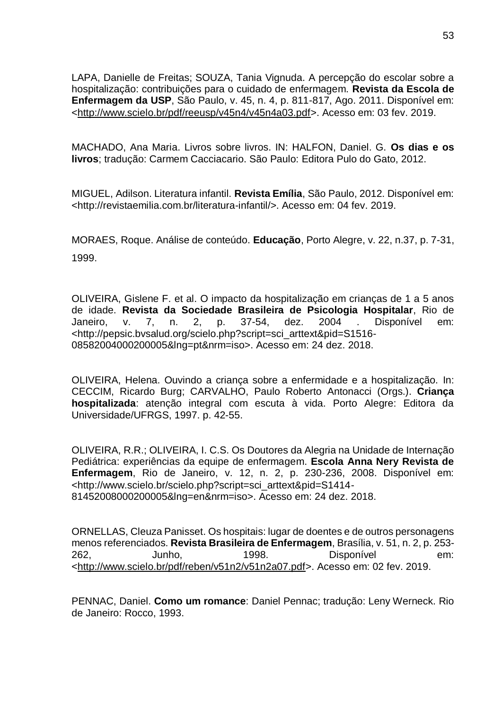LAPA, Danielle de Freitas; SOUZA, Tania Vignuda. A percepção do escolar sobre a hospitalização: contribuições para o cuidado de enfermagem. **Revista da Escola de Enfermagem da USP**, São Paulo, v. 45, n. 4, p. 811-817, Ago. 2011. Disponível em: [<http://www.scielo.br/pdf/reeusp/v45n4/v45n4a03.pdf>](http://www.scielo.br/pdf/reeusp/v45n4/v45n4a03.pdf). Acesso em: 03 fev. 2019.

MACHADO, Ana Maria. Livros sobre livros. IN: HALFON, Daniel. G. **Os dias e os livros**; tradução: Carmem Cacciacario. São Paulo: Editora Pulo do Gato, 2012.

MIGUEL, Adilson. Literatura infantil. **Revista Emília**, São Paulo, 2012. Disponível em: <http://revistaemilia.com.br/literatura-infantil/>. Acesso em: 04 fev. 2019.

MORAES, Roque. Análise de conteúdo. **Educação**, Porto Alegre, v. 22, n.37, p. 7-31, 1999.

OLIVEIRA, Gislene F. et al. O impacto da hospitalização em crianças de 1 a 5 anos de idade. **Revista da Sociedade Brasileira de Psicologia Hospitalar**, Rio de Janeiro, v. 7, n. 2, p. 37-54, dez. 2004 . Disponível em: <http://pepsic.bvsalud.org/scielo.php?script=sci\_arttext&pid=S1516- 08582004000200005&lng=pt&nrm=iso>. Acesso em: 24 dez. 2018.

OLIVEIRA, Helena. Ouvindo a criança sobre a enfermidade e a hospitalização. In: CECCIM, Ricardo Burg; CARVALHO, Paulo Roberto Antonacci (Orgs.). **Criança hospitalizada**: atenção integral com escuta à vida. Porto Alegre: Editora da Universidade/UFRGS, 1997. p. 42-55.

OLIVEIRA, R.R.; OLIVEIRA, I. C.S. Os Doutores da Alegria na Unidade de Internação Pediátrica: experiências da equipe de enfermagem. **Escola Anna Nery Revista de Enfermagem**, Rio de Janeiro, v. 12, n. 2, p. 230-236, 2008. Disponível em: <http://www.scielo.br/scielo.php?script=sci\_arttext&pid=S1414- 81452008000200005&lng=en&nrm=iso>. Acesso em: 24 dez. 2018.

ORNELLAS, Cleuza Panisset. Os hospitais: lugar de doentes e de outros personagens menos referenciados. **Revista Brasileira de Enfermagem**, Brasília, v. 51, n. 2, p. 253- 262, Junho, 1998. Disponível em: [<http://www.scielo.br/pdf/reben/v51n2/v51n2a07.pdf>](http://www.scielo.br/pdf/reben/v51n2/v51n2a07.pdf). Acesso em: 02 fev. 2019.

PENNAC, Daniel. **Como um romance**: Daniel Pennac; tradução: Leny Werneck. Rio de Janeiro: Rocco, 1993.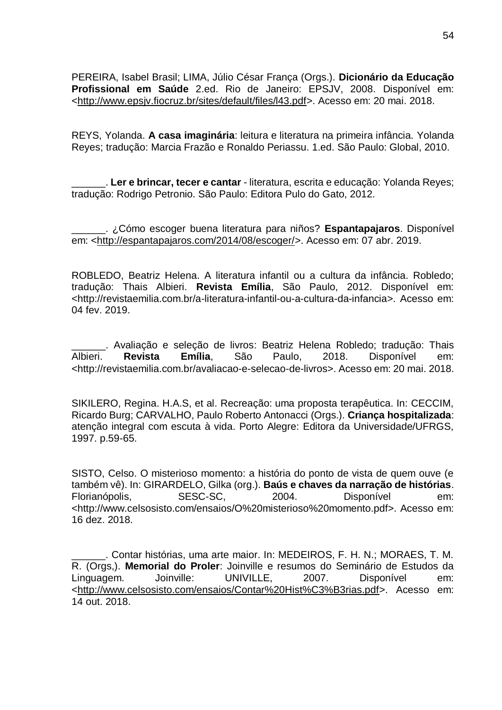PEREIRA, Isabel Brasil; LIMA, Júlio César França (Orgs.). **Dicionário da Educação Profissional em Saúde** 2.ed. Rio de Janeiro: EPSJV, 2008. Disponível em: [<http://www.epsjv.fiocruz.br/sites/default/files/l43.pdf>](http://www.epsjv.fiocruz.br/sites/default/files/l43.pdf). Acesso em: 20 mai. 2018.

REYS, Yolanda. **A casa imaginária**: leitura e literatura na primeira infância. Yolanda Reyes; tradução: Marcia Frazão e Ronaldo Periassu. 1.ed. São Paulo: Global, 2010.

\_\_\_\_\_\_. **Ler e brincar, tecer e cantar** - literatura, escrita e educação: Yolanda Reyes; tradução: Rodrigo Petronio. São Paulo: Editora Pulo do Gato, 2012.

\_\_\_\_\_\_. ¿Cómo escoger buena literatura para niños? **Espantapajaros**. Disponível em: [<http://espantapajaros.com/2014/08/escoger/>](http://espantapajaros.com/2014/08/escoger/). Acesso em: 07 abr. 2019.

ROBLEDO, Beatriz Helena. A literatura infantil ou a cultura da infância. Robledo; tradução: Thais Albieri. **Revista Emília**, São Paulo, 2012. Disponível em: <http://revistaemilia.com.br/a-literatura-infantil-ou-a-cultura-da-infancia>. Acesso em: 04 fev. 2019.

\_\_\_\_\_\_. Avaliação e seleção de livros: Beatriz Helena Robledo; tradução: Thais Albieri. **Revista Emília**, São Paulo, 2018. Disponível em: <http://revistaemilia.com.br/avaliacao-e-selecao-de-livros>. Acesso em: 20 mai. 2018.

SIKILERO, Regina. H.A.S, et al. Recreação: uma proposta terapêutica. In: CECCIM, Ricardo Burg; CARVALHO, Paulo Roberto Antonacci (Orgs.). **Criança hospitalizada**: atenção integral com escuta à vida. Porto Alegre: Editora da Universidade/UFRGS, 1997. p.59-65.

SISTO, Celso. O misterioso momento: a história do ponto de vista de quem ouve (e também vê). In: GIRARDELO, Gilka (org.). **Baús e chaves da narração de histórias**. Florianópolis, SESC-SC, 2004. Disponível em: <http://www.celsosisto.com/ensaios/O%20misterioso%20momento.pdf>. Acesso em: 16 dez. 2018.

\_\_\_\_\_\_. Contar histórias, uma arte maior. In: MEDEIROS, F. H. N.; MORAES, T. M. R. (Orgs,). **Memorial do Proler**: Joinville e resumos do Seminário de Estudos da Linguagem. Joinville: UNIVILLE, 2007. Disponível em: [<http://www.celsosisto.com/ensaios/Contar%20Hist%C3%B3rias.pdf>](http://www.celsosisto.com/ensaios/Contar%20Hist%C3%B3rias.pdf). Acesso em: 14 out. 2018.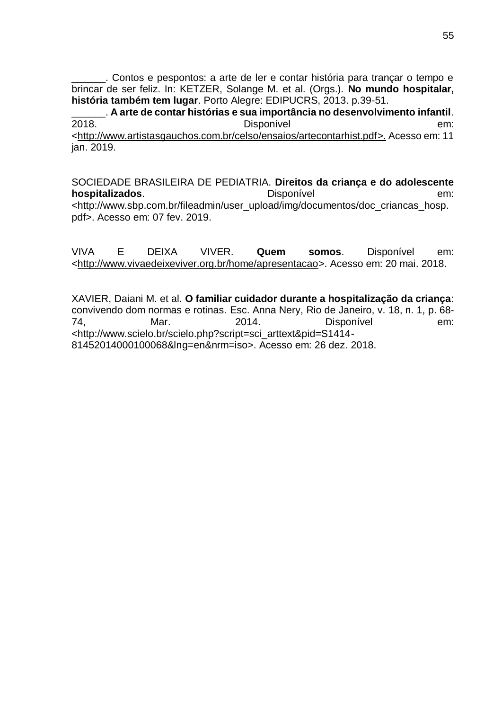\_\_\_\_\_\_. Contos e pespontos: a arte de ler e contar história para trançar o tempo e brincar de ser feliz. In: KETZER, Solange M. et al. (Orgs.). **No mundo hospitalar, história também tem lugar**. Porto Alegre: EDIPUCRS, 2013. p.39-51.

\_\_\_\_\_\_. **A arte de contar histórias e sua importância no desenvolvimento infantil**. 2018. Disponível em: [<http://www.artistasgauchos.com.br/celso/ensaios/artecontarhist.pdf>](http://www.artistasgauchos.com.br/celso/ensaios/artecontarhist.pdf). Acesso em: 11 jan. 2019.

SOCIEDADE BRASILEIRA DE PEDIATRIA. **Direitos da criança e do adolescente hospitalizados**. **Disponível em: hospitalizados**. <http://www.sbp.com.br/fileadmin/user\_upload/img/documentos/doc\_criancas\_hosp. pdf>. Acesso em: 07 fev. 2019.

VIVA E DEIXA VIVER. **Quem somos**. Disponível em: [<http://www.vivaedeixeviver.org.br/home/apresentacao>](http://www.vivaedeixeviver.org.br/home/apresentacao). Acesso em: 20 mai. 2018.

XAVIER, Daiani M. et al. **O familiar cuidador durante a hospitalização da criança**: convivendo dom normas e rotinas. Esc. Anna Nery, Rio de Janeiro, v. 18, n. 1, p. 68- 74, Mar. 2014. Disponível em: <http://www.scielo.br/scielo.php?script=sci\_arttext&pid=S1414- 81452014000100068&lng=en&nrm=iso>. Acesso em: 26 dez. 2018.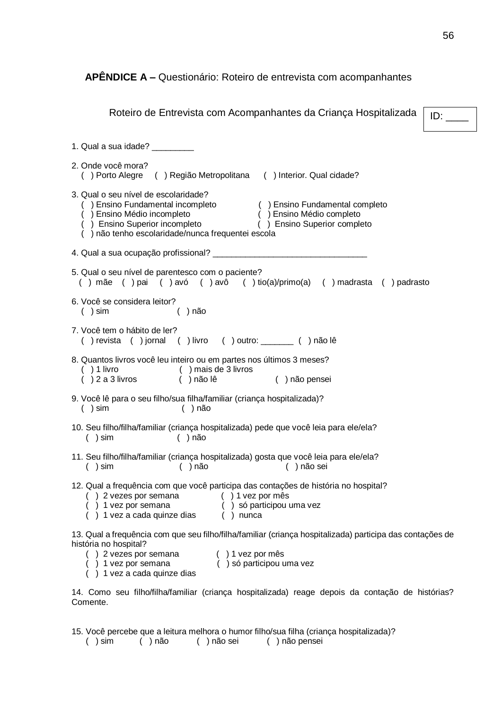<span id="page-56-0"></span>**APÊNDICE A –** Questionário: Roteiro de entrevista com acompanhantes

| Roteiro de Entrevista com Acompanhantes da Criança Hospitalizada<br>ID:                                                                                                                                                                                                                                                          |  |  |  |
|----------------------------------------------------------------------------------------------------------------------------------------------------------------------------------------------------------------------------------------------------------------------------------------------------------------------------------|--|--|--|
| 1. Qual a sua idade? _________                                                                                                                                                                                                                                                                                                   |  |  |  |
| 2. Onde você mora?<br>() Porto Alegre () Região Metropolitana () Interior. Qual cidade?                                                                                                                                                                                                                                          |  |  |  |
| 3. Qual o seu nível de escolaridade?<br>( ) Ensino Fundamental incompleto<br>( ) Ensino Médio incompleto<br>(  ) Ensino Médio incompleto<br>(  ) Ensino Médio completo<br>(  ) Ensino Superior incompleto<br>(  ) Ensino Superior completo<br>(  ) Ensino Superior completo<br>() não tenho escolaridade/nunca frequentei escola |  |  |  |
|                                                                                                                                                                                                                                                                                                                                  |  |  |  |
| 5. Qual o seu nível de parentesco com o paciente?<br>() mãe () pai () avó () avô () tio(a)/primo(a) () madrasta () padrasto                                                                                                                                                                                                      |  |  |  |
| 6. Você se considera leitor?<br>( ) sin<br>$( )$ não                                                                                                                                                                                                                                                                             |  |  |  |
| 7. Você tem o hábito de ler?<br>() revista () jornal () livro () outro: _______ () não lê                                                                                                                                                                                                                                        |  |  |  |
| 8. Quantos livros você leu inteiro ou em partes nos últimos 3 meses?<br>( )1 livro<br>( )2 a 3 livros<br>() mais de 3 livros<br>() não lê () não pensei                                                                                                                                                                          |  |  |  |
| 9. Você lê para o seu filho/sua filha/familiar (criança hospitalizada)?<br>( ) sin<br>$( )$ não                                                                                                                                                                                                                                  |  |  |  |
| 10. Seu filho/filha/familiar (criança hospitalizada) pede que você leia para ele/ela?<br>( ) sin<br>$( )$ não                                                                                                                                                                                                                    |  |  |  |
| 11. Seu filho/filha/familiar (criança hospitalizada) gosta que você leia para ele/ela?<br>( ) não sei<br>( ) sin<br>( ) não                                                                                                                                                                                                      |  |  |  |
| 12. Qual a frequência com que você participa das contações de história no hospital?<br>9 2 vezes por semana (1) 1 vez por mês<br>1 vez por semana (1) só participou uma vez<br>1 vez a cada quinze dias (1) nunca                                                                                                                |  |  |  |
| 13. Qual a frequência com que seu filho/filha/familiar (criança hospitalizada) participa das contações de<br>história no hospital?<br>) 2 vezes por semana<br>() 1 vez por mês<br>1 vez por semana () só participou uma vez<br>1 vez a cada quinze dias                                                                          |  |  |  |
| 14. Como seu filho/filha/familiar (criança hospitalizada) reage depois da contação de histórias?<br>Comente.                                                                                                                                                                                                                     |  |  |  |

15. Você percebe que a leitura melhora o humor filho/sua filha (criança hospitalizada)?<br>
( ) sim ( ) não  $($  ) não sei ( ) não pensei

( ) não ( ) não sei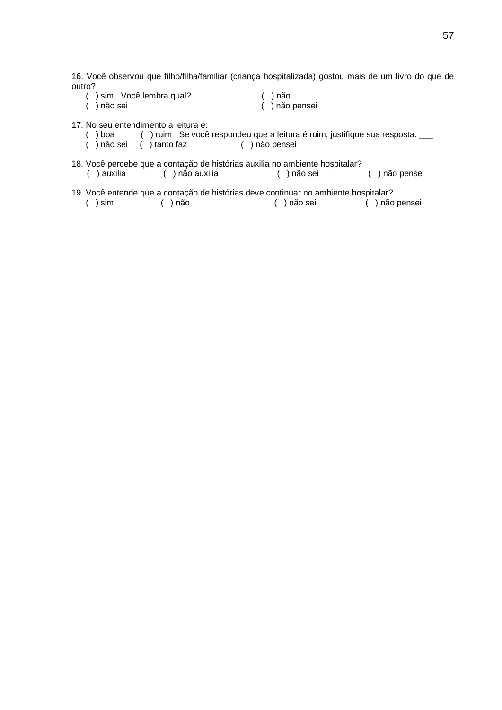16. Você observou que filho/filha/familiar (criança hospitalizada) gostou mais de um livro do que de outro?

- ( ) sim. Você lembra qual? ( ) não ( ) não sei ( ) não pensei
	-

17. No seu entendimento a leitura é:<br>
( ) boa ( ) ruim Se você

- ( ) boa ( ) ruim Se você respondeu que a leitura é ruim, justifique sua resposta. \_\_\_<br>( ) não sei ( ) tanto faz ( ) não pensei
- ( ) tanto faz ( ) não pensei
- 18. Você percebe que a contação de histórias auxilia no ambiente hospitalar? ( ) auxilia ( ) não auxilia ( ) não sei ( ) não pensei
- 19. Você entende que a contação de histórias deve continuar no ambiente hospitalar? ( ) sim ( ) não ( ) não sei ( ) não pensei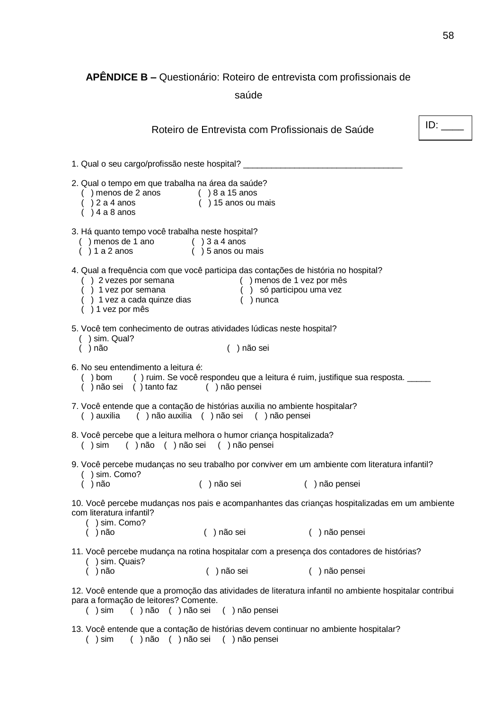# <span id="page-58-0"></span>**APÊNDICE B –** Questionário: Roteiro de entrevista com profissionais de

saúde

<span id="page-58-1"></span>

|                                                                                                                                           | Roteiro de Entrevista com Profissionais de Saúde                                                                                                                     |                                                                                                        | ID: |  |  |
|-------------------------------------------------------------------------------------------------------------------------------------------|----------------------------------------------------------------------------------------------------------------------------------------------------------------------|--------------------------------------------------------------------------------------------------------|-----|--|--|
| 1. Qual o seu cargo/profissão neste hospital? __________________________________                                                          |                                                                                                                                                                      |                                                                                                        |     |  |  |
| 2. Qual o tempo em que trabalha na área da saúde?<br>() menos de 2 anos<br>() 2 a 4 anos () 15 anos ou mais<br>( ) 4 a 8 anos             |                                                                                                                                                                      |                                                                                                        |     |  |  |
| 3. Há quanto tempo você trabalha neste hospital?<br>() menos de 1 ano () 3 a 4 anos<br>() 1 a 2 anos () 5 anos ou mais                    |                                                                                                                                                                      |                                                                                                        |     |  |  |
| 4. Qual a frequência com que você participa das contações de história no hospital?<br>) 1 vez por mês                                     | () 2 vezes por semana () menos de 1 vez por mês<br>() 1 vez por semana () só participou uma vez<br>() 1 vez a cada quinze dias () nunca                              |                                                                                                        |     |  |  |
| 5. Você tem conhecimento de outras atividades lúdicas neste hospital?<br>( ) sin. Qual?<br>$( )$ não                                      | () não sei                                                                                                                                                           |                                                                                                        |     |  |  |
|                                                                                                                                           | 6. No seu entendimento a leitura é:<br>() bom () ruim. Se você respondeu que a leitura é ruim, justifique sua resposta. ____<br>) não sei () tanto faz () não pensei |                                                                                                        |     |  |  |
| 7. Você entende que a contação de histórias auxilia no ambiente hospitalar?<br>() auxilia () não auxilia () não sei () não pensei         |                                                                                                                                                                      |                                                                                                        |     |  |  |
|                                                                                                                                           | 8. Você percebe que a leitura melhora o humor criança hospitalizada?<br>() sim () não () não sei () não pensei                                                       |                                                                                                        |     |  |  |
| ) sim. Como?                                                                                                                              |                                                                                                                                                                      | 9. Você percebe mudanças no seu trabalho por conviver em um ambiente com literatura infantil?          |     |  |  |
| ) não                                                                                                                                     | () não sei                                                                                                                                                           | () não pensei                                                                                          |     |  |  |
| 10. Você percebe mudanças nos pais e acompanhantes das crianças hospitalizadas em um ambiente<br>com literatura infantil?<br>) sim. Como? |                                                                                                                                                                      |                                                                                                        |     |  |  |
| ) não                                                                                                                                     | () não sei                                                                                                                                                           | () não pensei                                                                                          |     |  |  |
|                                                                                                                                           | 11. Você percebe mudança na rotina hospitalar com a presença dos contadores de histórias?                                                                            |                                                                                                        |     |  |  |
| ) sim. Quais?<br>) não                                                                                                                    | () não sei                                                                                                                                                           | () não pensei                                                                                          |     |  |  |
| para a formação de leitores? Comente.<br>() não () não sei<br>( ) sin                                                                     | () não pensei                                                                                                                                                        | 12. Você entende que a promoção das atividades de literatura infantil no ambiente hospitalar contribui |     |  |  |
| 13. Você entende que a contação de histórias devem continuar no ambiente hospitalar?<br>() não () não sei<br>)sim                         | () não pensei                                                                                                                                                        |                                                                                                        |     |  |  |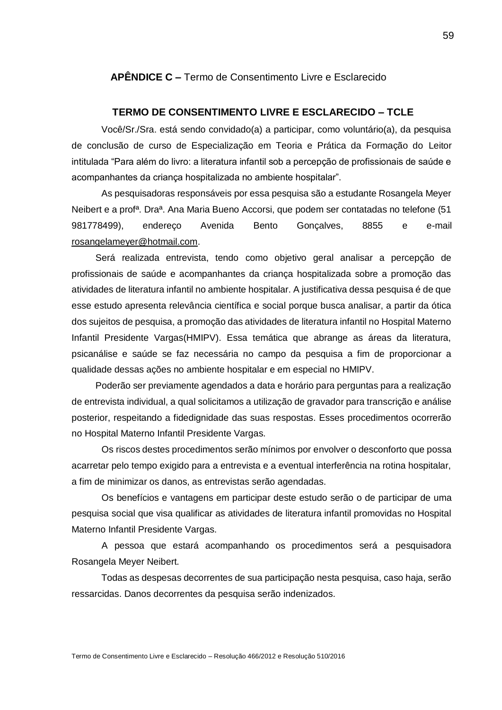#### **APÊNDICE C –** Termo de Consentimento Livre e Esclarecido

#### **TERMO DE CONSENTIMENTO LIVRE E ESCLARECIDO – TCLE**

Você/Sr./Sra. está sendo convidado(a) a participar, como voluntário(a), da pesquisa de conclusão de curso de Especialização em Teoria e Prática da Formação do Leitor intitulada "Para além do livro: a literatura infantil sob a percepção de profissionais de saúde e acompanhantes da criança hospitalizada no ambiente hospitalar".

As pesquisadoras responsáveis por essa pesquisa são a estudante Rosangela Meyer Neibert e a profª. Draª. Ana Maria Bueno Accorsi, que podem ser contatadas no telefone (51 981778499), endereço Avenida Bento Gonçalves, 8855 e e-mail [rosangelameyer@hotmail.com.](mailto:rosangelameyer@hotmail.com)

Será realizada entrevista, tendo como objetivo geral analisar a percepção de profissionais de saúde e acompanhantes da criança hospitalizada sobre a promoção das atividades de literatura infantil no ambiente hospitalar. A justificativa dessa pesquisa é de que esse estudo apresenta relevância científica e social porque busca analisar, a partir da ótica dos sujeitos de pesquisa, a promoção das atividades de literatura infantil no Hospital Materno Infantil Presidente Vargas(HMIPV). Essa temática que abrange as áreas da literatura, psicanálise e saúde se faz necessária no campo da pesquisa a fim de proporcionar a qualidade dessas ações no ambiente hospitalar e em especial no HMIPV.

Poderão ser previamente agendados a data e horário para perguntas para a realização de entrevista individual, a qual solicitamos a utilização de gravador para transcrição e análise posterior, respeitando a fidedignidade das suas respostas. Esses procedimentos ocorrerão no Hospital Materno Infantil Presidente Vargas.

Os riscos destes procedimentos serão mínimos por envolver o desconforto que possa acarretar pelo tempo exigido para a entrevista e a eventual interferência na rotina hospitalar, a fim de minimizar os danos, as entrevistas serão agendadas.

Os benefícios e vantagens em participar deste estudo serão o de participar de uma pesquisa social que visa qualificar as atividades de literatura infantil promovidas no Hospital Materno Infantil Presidente Vargas.

A pessoa que estará acompanhando os procedimentos será a pesquisadora Rosangela Meyer Neibert.

Todas as despesas decorrentes de sua participação nesta pesquisa, caso haja, serão ressarcidas. Danos decorrentes da pesquisa serão indenizados.